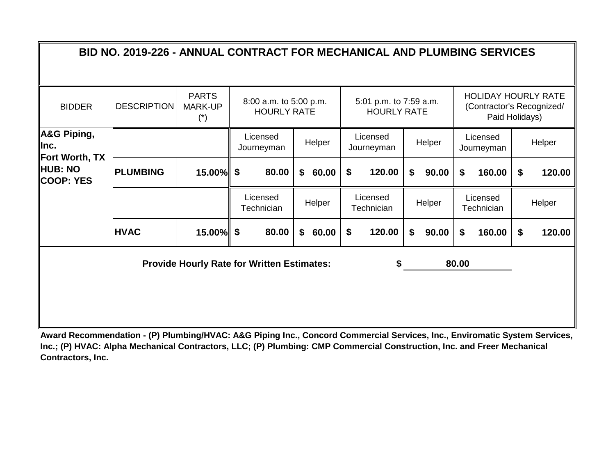#### BIDDER PARTS MARK-UP (\*) Helper Licensed Helper Licensed<br>Journeyman Helper Journeyma Licensed<br>Journeyman Helper **15.00% \$ 60.00 \$ 90.00 \$ 160.00 \$ 120.00 PLUMBING \$ 80.00 \$ 120.00** Helper Licensed Helper Licensed<br>Helper Technician Helper Technicia Licensed<br>Technician Helper **15.00% \$ 60.00 \$ 90.00 \$ 160.00 \$ 120.00 Provide Hourly Rate for Written Estimates: \$ BID NO. 2019-226 - ANNUAL CONTRACT FOR MECHANICAL AND PLUMBING SERVICES** DESCRIPTION MARK-UP  $\begin{bmatrix} 1 & 3 & 3 \\ 0 & 0 & 0 \\ 0 & 0 & 0 \\ 0 & 0 & 0 \end{bmatrix}$  8:00 a.m. to 5:00 p.m. HOURLY RATE 5:01 p.m. to 7:59 a.m. HOURLY RATE HOLIDAY HOURLY RATE (Contractor's Recognized/ Paid Holidays) **\$ 120.00 80.00 A&G Piping, Inc. Fort Worth, TX HUB: NO COOP: YES** Licensed Journeyman **HVAC \$ 80.00** Licensed Licensed **Technician** Licensed **Technician**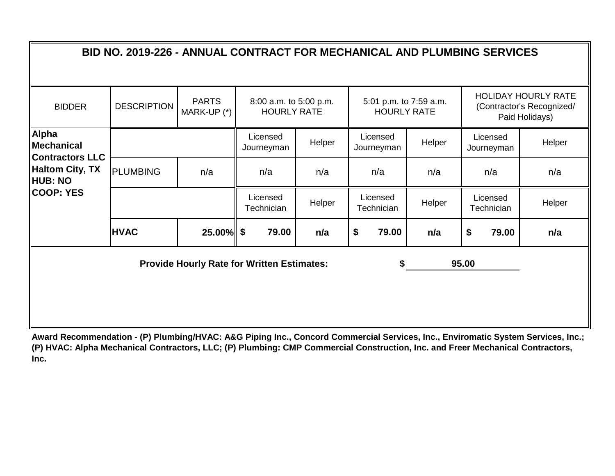|                                                      | BID NO. 2019-226 - ANNUAL CONTRACT FOR MECHANICAL AND PLUMBING SERVICES |                                                   |                        |       |                                              |                        |                        |                        |                        |                        |                                                                           |
|------------------------------------------------------|-------------------------------------------------------------------------|---------------------------------------------------|------------------------|-------|----------------------------------------------|------------------------|------------------------|------------------------|------------------------|------------------------|---------------------------------------------------------------------------|
| <b>BIDDER</b>                                        | <b>DESCRIPTION</b>                                                      | <b>PARTS</b><br>MARK-UP (*)                       |                        |       | 8:00 a.m. to 5:00 p.m.<br><b>HOURLY RATE</b> |                        | <b>HOURLY RATE</b>     | 5:01 p.m. to 7:59 a.m. |                        |                        | <b>HOLIDAY HOURLY RATE</b><br>(Contractor's Recognized/<br>Paid Holidays) |
| Alpha<br><b>Mechanical</b><br><b>Contractors LLC</b> |                                                                         |                                                   | Licensed<br>Journeyman |       | Helper                                       |                        | Licensed<br>Journeyman | Helper                 |                        | Licensed<br>Journeyman | Helper                                                                    |
| Haltom City, TX<br>HUB: NO                           | <b>PLUMBING</b>                                                         | n/a                                               | n/a                    |       | n/a                                          |                        | n/a                    | n/a                    |                        | n/a                    | n/a                                                                       |
| COOP: YES                                            |                                                                         |                                                   | Licensed<br>Technician |       | Helper                                       | Licensed<br>Technician |                        | Helper                 | Licensed<br>Technician |                        | Helper                                                                    |
|                                                      | <b>HVAC</b>                                                             | $25.00\%$ \$                                      |                        | 79.00 | n/a                                          | \$                     | 79.00                  | n/a                    | \$                     | 79.00                  | n/a                                                                       |
|                                                      |                                                                         | <b>Provide Hourly Rate for Written Estimates:</b> |                        |       |                                              |                        | \$                     |                        | 95.00                  |                        |                                                                           |
|                                                      |                                                                         |                                                   |                        |       |                                              |                        |                        |                        |                        |                        |                                                                           |
|                                                      |                                                                         |                                                   |                        |       |                                              |                        |                        |                        |                        |                        |                                                                           |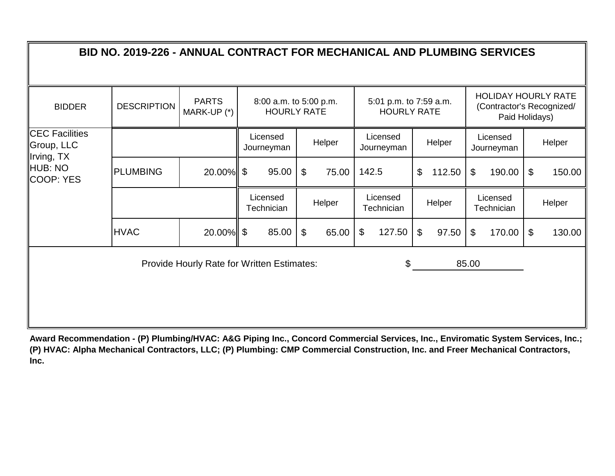|                                                   | BID NO. 2019-226 - ANNUAL CONTRACT FOR MECHANICAL AND PLUMBING SERVICES |                             |                                              |                                     |                                              |                                    |                                      |                                                                           |
|---------------------------------------------------|-------------------------------------------------------------------------|-----------------------------|----------------------------------------------|-------------------------------------|----------------------------------------------|------------------------------------|--------------------------------------|---------------------------------------------------------------------------|
| <b>BIDDER</b>                                     | <b>DESCRIPTION</b>                                                      | <b>PARTS</b><br>MARK-UP (*) | 8:00 a.m. to 5:00 p.m.<br><b>HOURLY RATE</b> |                                     | 5:01 p.m. to 7:59 a.m.<br><b>HOURLY RATE</b> |                                    |                                      | <b>HOLIDAY HOURLY RATE</b><br>(Contractor's Recognized/<br>Paid Holidays) |
| <b>CEC Facilities</b><br>Group, LLC<br>Irving, TX |                                                                         |                             | Licensed<br>Journeyman                       | Helper                              | Licensed<br>Journeyman                       | Helper                             | Licensed<br>Journeyman               | Helper                                                                    |
| HUB: NO<br>COOP: YES                              | <b>PLUMBING</b>                                                         | 20.00%                      | 95.00<br>\$                                  | $\mathfrak{S}$<br>75.00             | 142.5                                        | \$<br>112.50                       | $\boldsymbol{\mathsf{S}}$<br>190.00  | \$<br>150.00                                                              |
|                                                   |                                                                         |                             | Licensed<br>Technician                       | Helper                              | Licensed<br>Technician                       | Helper                             | Licensed<br>Technician               | Helper                                                                    |
|                                                   | <b>HVAC</b>                                                             | $20.00\%$ \$                | 85.00                                        | $\boldsymbol{\mathsf{\$}}$<br>65.00 | 127.50<br>\$                                 | $\boldsymbol{\mathsf{S}}$<br>97.50 | $\boldsymbol{\mathcal{F}}$<br>170.00 | 130.00<br>\$                                                              |
|                                                   |                                                                         |                             | Provide Hourly Rate for Written Estimates:   |                                     | \$                                           |                                    | 85.00                                |                                                                           |
|                                                   |                                                                         |                             |                                              |                                     |                                              |                                    |                                      |                                                                           |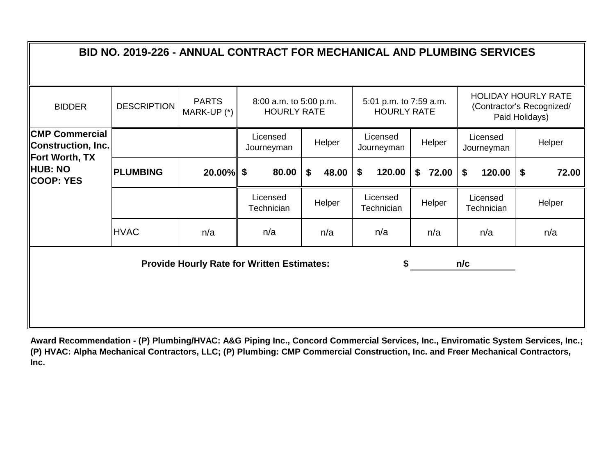| BID NO. 2019-226 - ANNUAL CONTRACT FOR MECHANICAL AND PLUMBING SERVICES     |                    |        |                                                                           |             |                        |             |                        |             |  |  |  |  |  |
|-----------------------------------------------------------------------------|--------------------|--------|---------------------------------------------------------------------------|-------------|------------------------|-------------|------------------------|-------------|--|--|--|--|--|
| <b>BIDDER</b>                                                               | <b>DESCRIPTION</b> |        | <b>HOLIDAY HOURLY RATE</b><br>(Contractor's Recognized/<br>Paid Holidays) |             |                        |             |                        |             |  |  |  |  |  |
| <b>CMP Commercial</b><br><b>Construction, Inc.</b><br><b>Fort Worth, TX</b> |                    |        | Licensed<br>Journeyman                                                    | Helper      | Licensed<br>Journeyman | Helper      | Licensed<br>Journeyman | Helper      |  |  |  |  |  |
| <b>HUB: NO</b><br><b>COOP: YES</b>                                          | <b>PLUMBING</b>    | 20.00% | \$<br>80.00                                                               | \$<br>48.00 | \$<br>120.00           | 72.00<br>\$ | \$<br>120.00           | \$<br>72.00 |  |  |  |  |  |
|                                                                             |                    |        | Licensed<br>Technician                                                    | Helper      | Licensed<br>Technician | Helper      | Licensed<br>Technician | Helper      |  |  |  |  |  |
|                                                                             | <b>HVAC</b>        | n/a    | n/a                                                                       | n/a         | n/a                    | n/a         | n/a                    | n/a         |  |  |  |  |  |
|                                                                             |                    |        | <b>Provide Hourly Rate for Written Estimates:</b>                         |             | \$                     |             | n/c                    |             |  |  |  |  |  |
|                                                                             |                    |        |                                                                           |             |                        |             |                        |             |  |  |  |  |  |
|                                                                             |                    |        |                                                                           |             |                        |             |                        |             |  |  |  |  |  |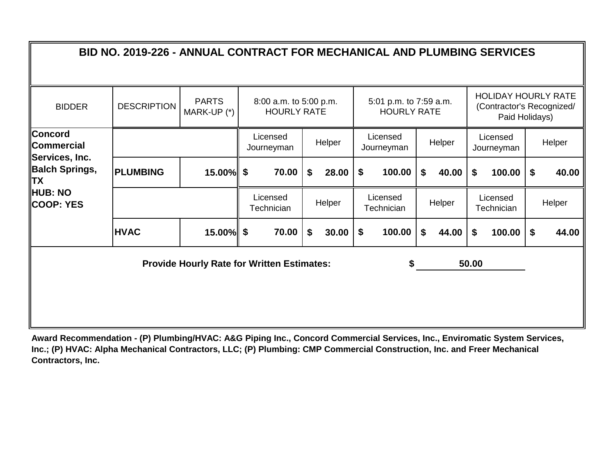|                                                       | BID NO. 2019-226 - ANNUAL CONTRACT FOR MECHANICAL AND PLUMBING SERVICES |                             |                                                   |             |                                              |             |                        |                                                                           |
|-------------------------------------------------------|-------------------------------------------------------------------------|-----------------------------|---------------------------------------------------|-------------|----------------------------------------------|-------------|------------------------|---------------------------------------------------------------------------|
| <b>BIDDER</b>                                         | <b>DESCRIPTION</b>                                                      | <b>PARTS</b><br>MARK-UP (*) | 8:00 a.m. to 5:00 p.m.<br><b>HOURLY RATE</b>      |             | 5:01 p.m. to 7:59 a.m.<br><b>HOURLY RATE</b> |             |                        | <b>HOLIDAY HOURLY RATE</b><br>(Contractor's Recognized/<br>Paid Holidays) |
| <b>Concord</b><br><b>Commercial</b><br>Services, Inc. |                                                                         |                             | Licensed<br>Journeyman                            | Helper      | Licensed<br>Journeyman                       | Helper      | Licensed<br>Journeyman | Helper                                                                    |
| <b>Balch Springs,</b><br><b>TX</b>                    | <b>PLUMBING</b>                                                         | 15.00%                      | \$<br>70.00                                       | \$<br>28.00 | 100.00<br>\$                                 | \$<br>40.00 | \$<br>100.00           | \$<br>40.00                                                               |
| <b>HUB: NO</b><br><b>COOP: YES</b>                    |                                                                         |                             | Licensed<br>Technician                            | Helper      | Licensed<br>Technician                       | Helper      | Licensed<br>Technician | Helper                                                                    |
|                                                       | <b>HVAC</b>                                                             | $15.00\%$ \$                | 70.00                                             | \$<br>30.00 | 100.00<br>\$                                 | \$<br>44.00 | \$<br>100.00           | 44.00<br>\$                                                               |
|                                                       |                                                                         |                             | <b>Provide Hourly Rate for Written Estimates:</b> |             | \$                                           |             | 50.00                  |                                                                           |
|                                                       |                                                                         |                             |                                                   |             |                                              |             |                        |                                                                           |
|                                                       |                                                                         |                             |                                                   |             |                                              |             |                        |                                                                           |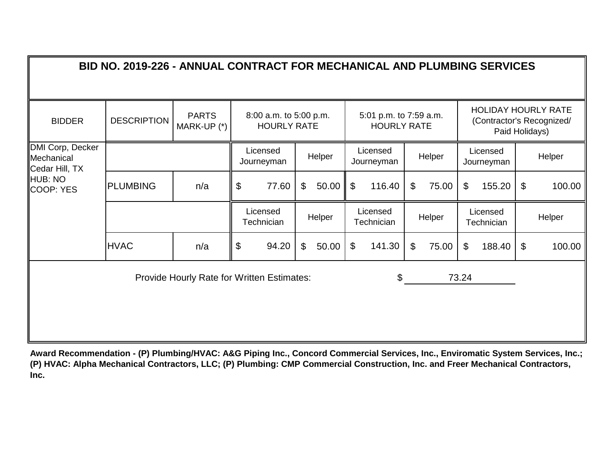|                                                  | BID NO. 2019-226 - ANNUAL CONTRACT FOR MECHANICAL AND PLUMBING SERVICES |                                            |       |                                              |                |        |                |                                              |                |        |                |                        |                            |                                                         |
|--------------------------------------------------|-------------------------------------------------------------------------|--------------------------------------------|-------|----------------------------------------------|----------------|--------|----------------|----------------------------------------------|----------------|--------|----------------|------------------------|----------------------------|---------------------------------------------------------|
| <b>BIDDER</b>                                    | <b>DESCRIPTION</b>                                                      | <b>PARTS</b><br>MARK-UP (*)                |       | 8:00 a.m. to 5:00 p.m.<br><b>HOURLY RATE</b> |                |        |                | 5:01 p.m. to 7:59 a.m.<br><b>HOURLY RATE</b> |                |        |                | Paid Holidays)         |                            | <b>HOLIDAY HOURLY RATE</b><br>(Contractor's Recognized/ |
| DMI Corp, Decker<br>Mechanical<br>Cedar Hill, TX |                                                                         |                                            |       | Licensed<br>Journeyman                       |                | Helper |                | Licensed<br>Journeyman                       |                | Helper |                | Licensed<br>Journeyman |                            | Helper                                                  |
| HUB: NO<br>COOP: YES                             | <b>PLUMBING</b>                                                         | n/a                                        | $\$\$ | 77.60                                        | $\mathfrak{L}$ | 50.00  | $\mathfrak{F}$ | 116.40                                       | $\mathfrak{L}$ | 75.00  | $\mathfrak{L}$ | 155.20                 | $\boldsymbol{\mathsf{S}}$  | 100.00                                                  |
|                                                  |                                                                         |                                            |       | Licensed<br>Technician                       |                | Helper |                | Licensed<br>Technician                       |                | Helper |                | Licensed<br>Technician |                            | Helper                                                  |
|                                                  | <b>HVAC</b>                                                             | n/a                                        | \$    | 94.20                                        | \$             | 50.00  | \$             | 141.30                                       | $\mathfrak{L}$ | 75.00  | $\mathfrak{F}$ | 188.40                 | $\boldsymbol{\mathsf{\$}}$ | 100.00                                                  |
|                                                  |                                                                         | Provide Hourly Rate for Written Estimates: |       |                                              |                |        |                | \$                                           |                |        | 73.24          |                        |                            |                                                         |
|                                                  |                                                                         |                                            |       |                                              |                |        |                |                                              |                |        |                |                        |                            |                                                         |
|                                                  |                                                                         |                                            |       |                                              |                |        |                |                                              |                |        |                |                        |                            |                                                         |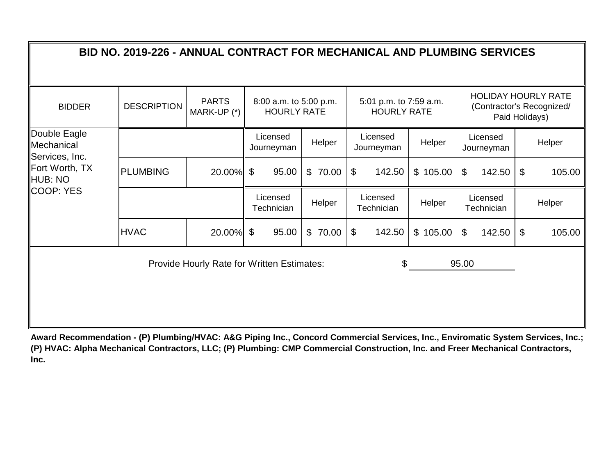|                                              | BID NO. 2019-226 - ANNUAL CONTRACT FOR MECHANICAL AND PLUMBING SERVICES |                                                   |                                              |         |                                              |          |                                                         |                            |        |
|----------------------------------------------|-------------------------------------------------------------------------|---------------------------------------------------|----------------------------------------------|---------|----------------------------------------------|----------|---------------------------------------------------------|----------------------------|--------|
| <b>BIDDER</b>                                | <b>DESCRIPTION</b>                                                      | <b>PARTS</b><br>MARK-UP (*)                       | 8:00 a.m. to 5:00 p.m.<br><b>HOURLY RATE</b> |         | 5:01 p.m. to 7:59 a.m.<br><b>HOURLY RATE</b> |          | <b>HOLIDAY HOURLY RATE</b><br>(Contractor's Recognized/ | Paid Holidays)             |        |
| Double Eagle<br>Mechanical<br>Services, Inc. |                                                                         |                                                   | Licensed<br>Journeyman                       | Helper  | Licensed<br>Journeyman                       | Helper   | Licensed<br>Journeyman                                  |                            | Helper |
| Fort Worth, TX<br>HUB: NO                    | <b>PLUMBING</b>                                                         | $20.00\%$ \$                                      | 95.00                                        | \$70.00 | \$<br>142.50                                 | \$105.00 | $\boldsymbol{\mathsf{S}}$<br>142.50                     | $\mathfrak{F}$             | 105.00 |
| COOP: YES                                    |                                                                         |                                                   | Licensed<br>Technician                       | Helper  | Licensed<br>Technician                       | Helper   | Licensed<br>Technician                                  |                            | Helper |
|                                              | <b>HVAC</b>                                                             | $20.00\%$ \$                                      | 95.00                                        | \$70.00 | 142.50<br>\$                                 | \$105.00 | \$<br>142.50                                            | $\boldsymbol{\mathcal{F}}$ | 105.00 |
|                                              |                                                                         | <b>Provide Hourly Rate for Written Estimates:</b> |                                              |         | \$                                           |          | 95.00                                                   |                            |        |
|                                              |                                                                         |                                                   |                                              |         |                                              |          |                                                         |                            |        |
|                                              |                                                                         |                                                   |                                              |         |                                              |          |                                                         |                            |        |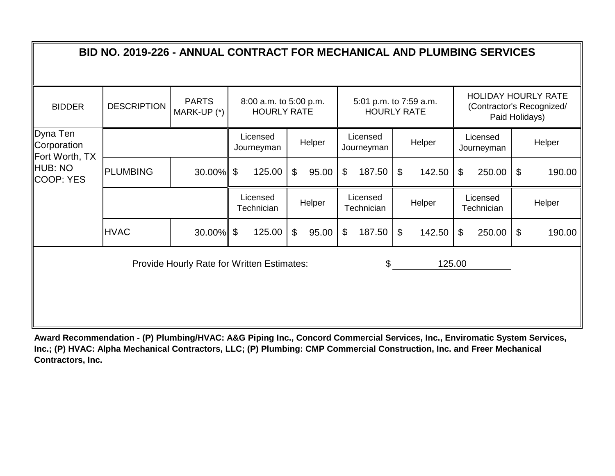| BID NO. 2019-226 - ANNUAL CONTRACT FOR MECHANICAL AND PLUMBING SERVICES |                    |                                            |                            |                                              |    |        |                            |                                              |               |        |    |                        |                            |                                                         |
|-------------------------------------------------------------------------|--------------------|--------------------------------------------|----------------------------|----------------------------------------------|----|--------|----------------------------|----------------------------------------------|---------------|--------|----|------------------------|----------------------------|---------------------------------------------------------|
| <b>BIDDER</b>                                                           | <b>DESCRIPTION</b> | <b>PARTS</b><br>MARK-UP (*)                |                            | 8:00 a.m. to 5:00 p.m.<br><b>HOURLY RATE</b> |    |        |                            | 5:01 p.m. to 7:59 a.m.<br><b>HOURLY RATE</b> |               |        |    | Paid Holidays)         |                            | <b>HOLIDAY HOURLY RATE</b><br>(Contractor's Recognized/ |
| Dyna Ten<br>Corporation<br>Fort Worth, TX                               |                    |                                            |                            | Licensed<br>Journeyman                       |    | Helper |                            | Licensed<br>Journeyman                       |               | Helper |    | Licensed<br>Journeyman |                            | Helper                                                  |
| <b>HUB: NO</b><br><b>COOP: YES</b>                                      | <b>PLUMBING</b>    | 30.00%                                     | $\boldsymbol{\mathcal{F}}$ | 125.00                                       | \$ | 95.00  | $\boldsymbol{\mathcal{F}}$ | 187.50                                       | $\mathcal{L}$ | 142.50 | \$ | 250.00                 | \$                         | 190.00                                                  |
|                                                                         |                    |                                            |                            | Licensed<br>Technician                       |    | Helper |                            | Licensed<br>Technician                       |               | Helper |    | Licensed<br>Technician |                            | Helper                                                  |
|                                                                         | <b>HVAC</b>        | $30.00\%$ \$                               |                            | 125.00                                       | \$ | 95.00  | $\boldsymbol{\mathcal{F}}$ | 187.50                                       | $\mathcal{S}$ | 142.50 | \$ | 250.00                 | $\boldsymbol{\mathsf{\$}}$ | 190.00                                                  |
|                                                                         |                    | Provide Hourly Rate for Written Estimates: |                            |                                              |    |        |                            | \$                                           |               | 125.00 |    |                        |                            |                                                         |
|                                                                         |                    |                                            |                            |                                              |    |        |                            |                                              |               |        |    |                        |                            |                                                         |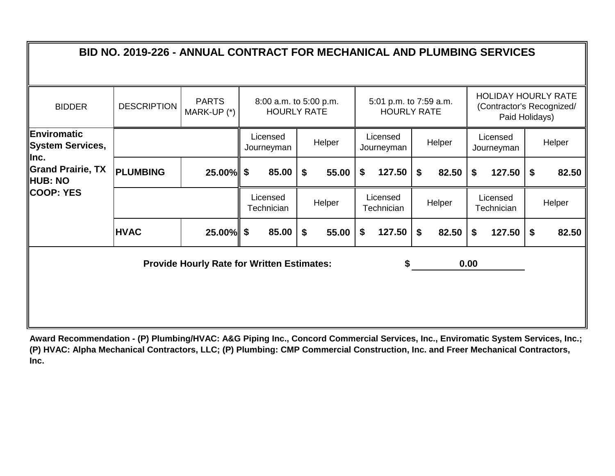|                                           | BID NO. 2019-226 - ANNUAL CONTRACT FOR MECHANICAL AND PLUMBING SERVICES |                                                   |                                              |             |                                              |             |      |                                                                           |             |
|-------------------------------------------|-------------------------------------------------------------------------|---------------------------------------------------|----------------------------------------------|-------------|----------------------------------------------|-------------|------|---------------------------------------------------------------------------|-------------|
| <b>BIDDER</b>                             | <b>DESCRIPTION</b>                                                      | <b>PARTS</b><br>MARK-UP (*)                       | 8:00 a.m. to 5:00 p.m.<br><b>HOURLY RATE</b> |             | 5:01 p.m. to 7:59 a.m.<br><b>HOURLY RATE</b> |             |      | <b>HOLIDAY HOURLY RATE</b><br>(Contractor's Recognized/<br>Paid Holidays) |             |
| ∥Enviromatic<br>System Services,<br>llnc. |                                                                         |                                                   | Licensed<br>Journeyman                       | Helper      | Licensed<br>Journeyman                       | Helper      |      | Licensed<br>Journeyman                                                    | Helper      |
| Grand Prairie, TX<br><b>HUB: NO</b>       | <b>PLUMBING</b>                                                         | 25.00%                                            | \$<br>85.00                                  | \$<br>55.00 | \$<br>127.50                                 | \$<br>82.50 | \$   | 127.50                                                                    | \$<br>82.50 |
| COOP: YES                                 |                                                                         |                                                   | Licensed<br>Technician                       | Helper      | Licensed<br>Technician                       | Helper      |      | Licensed<br>Technician                                                    | Helper      |
|                                           | <b>HVAC</b>                                                             | 25.00%                                            | \$<br>85.00                                  | \$<br>55.00 | \$<br>127.50                                 | \$<br>82.50 | \$   | 127.50                                                                    | \$<br>82.50 |
|                                           |                                                                         | <b>Provide Hourly Rate for Written Estimates:</b> |                                              |             | S                                            |             | 0.00 |                                                                           |             |
|                                           |                                                                         |                                                   |                                              |             |                                              |             |      |                                                                           |             |
|                                           |                                                                         |                                                   |                                              |             |                                              |             |      |                                                                           |             |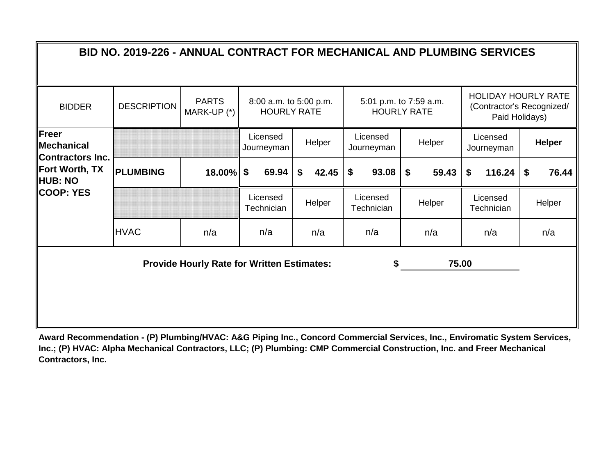|                                                | BID NO. 2019-226 - ANNUAL CONTRACT FOR MECHANICAL AND PLUMBING SERVICES |                                                   |                                              |             |                                    |                                              |                        |                                                                           |
|------------------------------------------------|-------------------------------------------------------------------------|---------------------------------------------------|----------------------------------------------|-------------|------------------------------------|----------------------------------------------|------------------------|---------------------------------------------------------------------------|
| <b>BIDDER</b>                                  | <b>DESCRIPTION</b>                                                      | <b>PARTS</b><br>MARK-UP (*)                       | 8:00 a.m. to 5:00 p.m.<br><b>HOURLY RATE</b> |             |                                    | 5:01 p.m. to 7:59 a.m.<br><b>HOURLY RATE</b> |                        | <b>HOLIDAY HOURLY RATE</b><br>(Contractor's Recognized/<br>Paid Holidays) |
| Freer<br><b>Mechanical</b><br>Contractors Inc. |                                                                         |                                                   | Licensed<br>Journeyman                       | Helper      | Licensed<br>Journeyman             | Helper                                       | Licensed<br>Journeyman | <b>Helper</b>                                                             |
| Fort Worth, TX<br>HUB: NO                      | <b>PLUMBING</b>                                                         | $18.00\%$ \$                                      | 69.94                                        | \$<br>42.45 | 93.08<br>$\boldsymbol{\mathsf{s}}$ | 59.43<br>\$                                  | 116.24<br>\$           | 76.44<br>\$                                                               |
| COOP: YES                                      |                                                                         |                                                   | Licensed<br>Technician                       | Helper      | Licensed<br>Technician             | Helper                                       | Licensed<br>Technician | Helper                                                                    |
|                                                | <b>HVAC</b>                                                             | n/a                                               | n/a                                          | n/a         | n/a                                | n/a                                          | n/a                    | n/a                                                                       |
|                                                |                                                                         | <b>Provide Hourly Rate for Written Estimates:</b> |                                              |             | \$                                 |                                              | 75.00                  |                                                                           |
|                                                |                                                                         |                                                   |                                              |             |                                    |                                              |                        |                                                                           |
|                                                |                                                                         |                                                   |                                              |             |                                    |                                              |                        |                                                                           |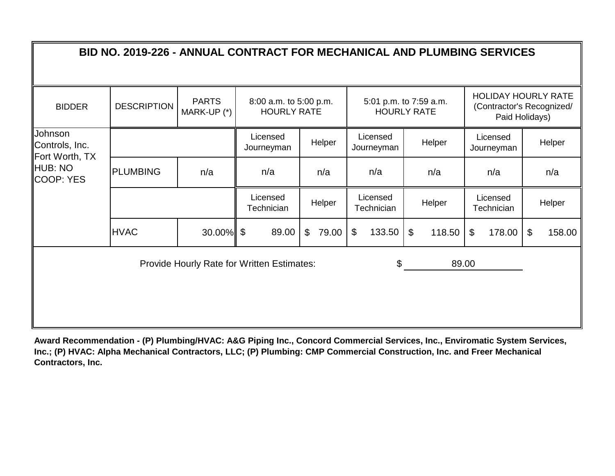|                                             | BID NO. 2019-226 - ANNUAL CONTRACT FOR MECHANICAL AND PLUMBING SERVICES |                             |                                                   |             |                        |                                              |                        |                                                                           |
|---------------------------------------------|-------------------------------------------------------------------------|-----------------------------|---------------------------------------------------|-------------|------------------------|----------------------------------------------|------------------------|---------------------------------------------------------------------------|
| <b>BIDDER</b>                               | <b>DESCRIPTION</b>                                                      | <b>PARTS</b><br>MARK-UP (*) | 8:00 a.m. to 5:00 p.m.<br><b>HOURLY RATE</b>      |             |                        | 5:01 p.m. to 7:59 a.m.<br><b>HOURLY RATE</b> |                        | <b>HOLIDAY HOURLY RATE</b><br>(Contractor's Recognized/<br>Paid Holidays) |
| Johnson<br>Controls, Inc.<br>Fort Worth, TX |                                                                         |                             | Licensed<br>Journeyman                            | Helper      | Licensed<br>Journeyman | Helper                                       | Licensed<br>Journeyman | Helper                                                                    |
| HUB: NO<br>COOP: YES                        | <b>PLUMBING</b>                                                         | n/a                         | n/a                                               | n/a         | n/a                    | n/a                                          | n/a                    | n/a                                                                       |
|                                             |                                                                         |                             | Licensed<br>Technician                            | Helper      | Licensed<br>Technician | Helper                                       | Licensed<br>Technician | Helper                                                                    |
|                                             | <b>HVAC</b>                                                             | $30.00\%$ \$                | 89.00                                             | \$<br>79.00 | 133.50<br>\$           | $\boldsymbol{\mathsf{S}}$<br>118.50          | \$<br>178.00           | \$<br>158.00                                                              |
|                                             |                                                                         |                             | <b>Provide Hourly Rate for Written Estimates:</b> |             | \$                     |                                              | 89.00                  |                                                                           |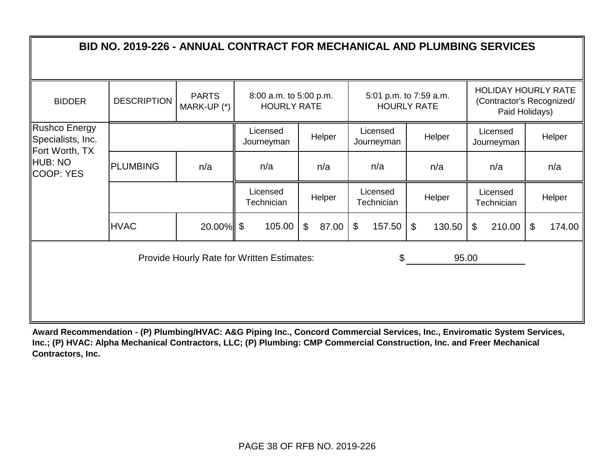| <b>BIDDER</b>                                        | <b>DESCRIPTION</b> | <b>PARTS</b><br>MARK-UP (*) | 8:00 a.m. to 5:00 p.m.<br><b>HOURLY RATE</b>      |             |                        | 5:01 p.m. to 7:59 a.m.<br><b>HOURLY RATE</b> |                                      | <b>HOLIDAY HOURLY RATE</b><br>(Contractor's Recognized/<br>Paid Holidays) |
|------------------------------------------------------|--------------------|-----------------------------|---------------------------------------------------|-------------|------------------------|----------------------------------------------|--------------------------------------|---------------------------------------------------------------------------|
| Rushco Energy<br>Specialists, Inc.<br>Fort Worth, TX |                    |                             | Licensed<br>Journeyman                            | Helper      | Licensed<br>Journeyman | Helper                                       | Licensed<br>Journeyman               | Helper                                                                    |
| HUB: NO<br>COOP: YES                                 | <b>PLUMBING</b>    | n/a                         | n/a                                               | n/a         | n/a                    | n/a                                          | n/a                                  | n/a                                                                       |
|                                                      |                    |                             | Licensed<br>Technician                            | Helper      | Licensed<br>Technician | Helper                                       | Licensed<br>Technician               | Helper                                                                    |
|                                                      | <b>HVAC</b>        | $20.00\%$ \$                | 105.00                                            | \$<br>87.00 | $\$\$<br>157.50        | $\mathfrak{S}$<br>130.50                     | $\boldsymbol{\mathcal{L}}$<br>210.00 | $\mathfrak{F}$<br>174.00                                                  |
|                                                      |                    |                             | <b>Provide Hourly Rate for Written Estimates:</b> |             | \$                     |                                              | 95.00                                |                                                                           |
|                                                      |                    |                             |                                                   |             |                        |                                              |                                      |                                                                           |
|                                                      |                    |                             |                                                   |             |                        |                                              |                                      |                                                                           |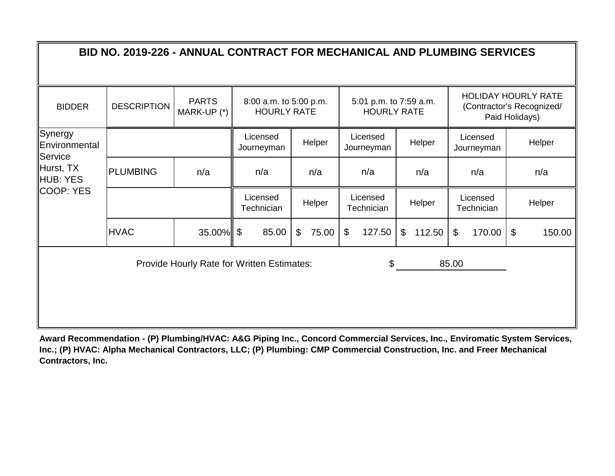|                                     | BID NO. 2019-226 - ANNUAL CONTRACT FOR MECHANICAL AND PLUMBING SERVICES |                             |                                              |             |                                              |              |                          |                                                                           |
|-------------------------------------|-------------------------------------------------------------------------|-----------------------------|----------------------------------------------|-------------|----------------------------------------------|--------------|--------------------------|---------------------------------------------------------------------------|
| <b>BIDDER</b>                       | <b>DESCRIPTION</b>                                                      | <b>PARTS</b><br>MARK-UP (*) | 8:00 a.m. to 5:00 p.m.<br><b>HOURLY RATE</b> |             | 5:01 p.m. to 7:59 a.m.<br><b>HOURLY RATE</b> |              |                          | <b>HOLIDAY HOURLY RATE</b><br>(Contractor's Recognized/<br>Paid Holidays) |
| Synergy<br>Environmental<br>Service |                                                                         |                             | Licensed<br>Journeyman                       | Helper      | Licensed<br>Journeyman                       | Helper       | Licensed<br>Journeyman   | Helper                                                                    |
| Hurst, TX<br>HUB: YES               | <b>PLUMBING</b>                                                         | n/a                         | n/a                                          | n/a         | n/a                                          | n/a          | n/a                      | n/a                                                                       |
| COOP: YES                           |                                                                         |                             | Licensed<br>Technician                       | Helper      | Licensed<br>Technician                       | Helper       | Licensed<br>Technician   | Helper                                                                    |
|                                     | <b>HVAC</b>                                                             | $35.00\%$ \$                | 85.00                                        | 75.00<br>\$ | $\boldsymbol{\mathsf{\$}}$<br>127.50         | 112.50<br>\$ | $\mathfrak{S}$<br>170.00 | $\mathfrak{F}$<br>150.00                                                  |
|                                     |                                                                         |                             | Provide Hourly Rate for Written Estimates:   |             | \$                                           |              | 85.00                    |                                                                           |
|                                     |                                                                         |                             |                                              |             |                                              |              |                          |                                                                           |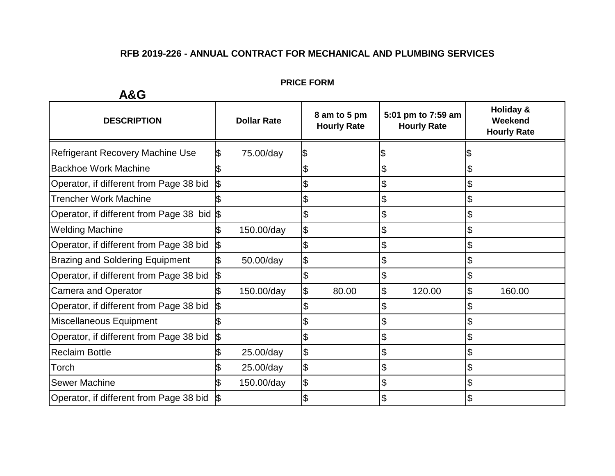#### **PRICE FORM**

| <b>DESCRIPTION</b>                         | <b>Dollar Rate</b> |    | 8 am to 5 pm<br><b>Hourly Rate</b> |    | 5:01 pm to 7:59 am<br><b>Hourly Rate</b> |    | Holiday &<br>Weekend<br><b>Hourly Rate</b> |
|--------------------------------------------|--------------------|----|------------------------------------|----|------------------------------------------|----|--------------------------------------------|
| Refrigerant Recovery Machine Use           | 75.00/day          |    |                                    |    |                                          |    |                                            |
| <b>Backhoe Work Machine</b>                |                    |    |                                    | \$ |                                          |    |                                            |
| Operator, if different from Page 38 bid    |                    |    |                                    | \$ |                                          | S  |                                            |
| <b>Trencher Work Machine</b>               |                    |    |                                    | \$ |                                          |    |                                            |
| Operator, if different from Page 38 bid \$ |                    |    |                                    | \$ |                                          |    |                                            |
| <b>Welding Machine</b>                     | 150.00/day         | \$ |                                    | \$ |                                          | \$ |                                            |
| Operator, if different from Page 38 bid    |                    | \$ |                                    | \$ |                                          | \$ |                                            |
| <b>Brazing and Soldering Equipment</b>     | 50.00/day          | \$ |                                    | \$ |                                          |    |                                            |
| Operator, if different from Page 38 bid    |                    |    |                                    | \$ |                                          |    |                                            |
| <b>Camera and Operator</b>                 | 150.00/day         |    | 80.00                              | \$ | 120.00                                   | \$ | 160.00                                     |
| Operator, if different from Page 38 bid    |                    |    |                                    | \$ |                                          |    |                                            |
| Miscellaneous Equipment                    |                    |    |                                    | \$ |                                          |    |                                            |
| Operator, if different from Page 38 bid    |                    |    |                                    | \$ |                                          |    |                                            |
| <b>Reclaim Bottle</b>                      | 25.00/day          | \$ |                                    | \$ |                                          |    |                                            |
| Torch                                      | 25.00/day          | \$ |                                    | \$ |                                          | \$ |                                            |
| <b>Sewer Machine</b>                       | 150.00/day         | \$ |                                    | \$ |                                          | \$ |                                            |
| Operator, if different from Page 38 bid    |                    |    |                                    | \$ |                                          |    |                                            |

## **A&G**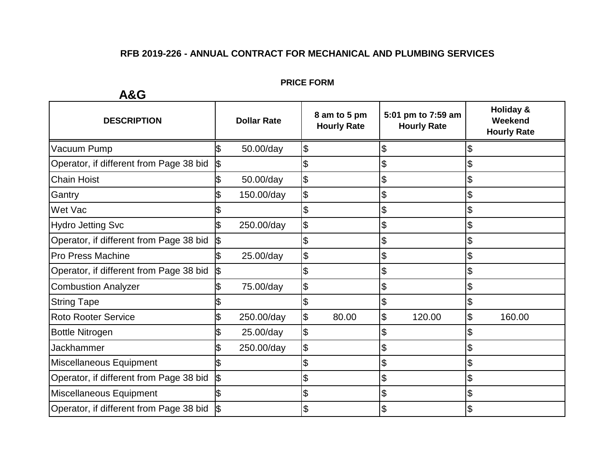#### **PRICE FORM**

| <b>DESCRIPTION</b>                      | 5:01 pm to 7:59 am<br>8 am to 5 pm<br><b>Dollar Rate</b><br><b>Hourly Rate</b><br><b>Hourly Rate</b> |            | Holiday &<br>Weekend<br><b>Hourly Rate</b> |       |              |              |
|-----------------------------------------|------------------------------------------------------------------------------------------------------|------------|--------------------------------------------|-------|--------------|--------------|
| Vacuum Pump                             |                                                                                                      | 50.00/day  | \$                                         |       | \$           | \$           |
| Operator, if different from Page 38 bid |                                                                                                      |            |                                            |       | \$           |              |
| <b>Chain Hoist</b>                      |                                                                                                      | 50.00/day  | \$                                         |       | \$           | \$           |
| Gantry                                  |                                                                                                      | 150.00/day | \$                                         |       | \$           | \$           |
| Wet Vac                                 |                                                                                                      |            | \$                                         |       | \$           | \$           |
| <b>Hydro Jetting Svc</b>                |                                                                                                      | 250.00/day | \$                                         |       | \$           | \$           |
| Operator, if different from Page 38 bid |                                                                                                      |            |                                            |       | \$           | \$           |
| <b>Pro Press Machine</b>                |                                                                                                      | 25.00/day  | \$                                         |       | \$           | \$           |
| Operator, if different from Page 38 bid | 135                                                                                                  |            |                                            |       | \$           | \$           |
| <b>Combustion Analyzer</b>              |                                                                                                      | 75.00/day  | \$                                         |       | \$           | \$           |
| <b>String Tape</b>                      |                                                                                                      |            |                                            |       | \$           | \$           |
| <b>Roto Rooter Service</b>              |                                                                                                      | 250.00/day | \$                                         | 80.00 | \$<br>120.00 | \$<br>160.00 |
| <b>Bottle Nitrogen</b>                  |                                                                                                      | 25.00/day  | \$                                         |       | \$           |              |
| Jackhammer                              |                                                                                                      | 250.00/day | \$                                         |       | \$           | \$           |
| Miscellaneous Equipment                 |                                                                                                      |            |                                            |       | \$           |              |
| Operator, if different from Page 38 bid | 1\$                                                                                                  |            |                                            |       | \$           | \$           |
| Miscellaneous Equipment                 |                                                                                                      |            | \$                                         |       | \$           | \$           |
| Operator, if different from Page 38 bid |                                                                                                      |            | ง                                          |       | \$           | \$           |

**A&G**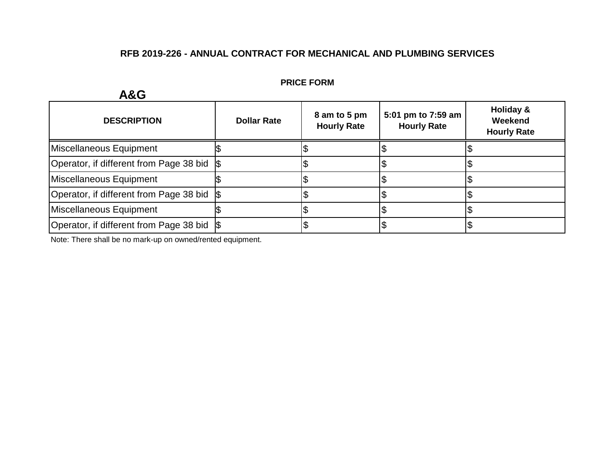| AQU                                         |                    |                                    |                                          |                                            |  |
|---------------------------------------------|--------------------|------------------------------------|------------------------------------------|--------------------------------------------|--|
| <b>DESCRIPTION</b>                          | <b>Dollar Rate</b> | 8 am to 5 pm<br><b>Hourly Rate</b> | 5:01 pm to 7:59 am<br><b>Hourly Rate</b> | Holiday &<br>Weekend<br><b>Hourly Rate</b> |  |
| Miscellaneous Equipment                     |                    |                                    |                                          |                                            |  |
| Operator, if different from Page 38 bid \\$ |                    |                                    |                                          |                                            |  |
| Miscellaneous Equipment                     |                    |                                    |                                          |                                            |  |
| Operator, if different from Page 38 bid \\$ |                    |                                    |                                          |                                            |  |
| Miscellaneous Equipment                     |                    |                                    |                                          |                                            |  |
| Operator, if different from Page 38 bid \\$ |                    |                                    |                                          |                                            |  |

#### **PRICE FORM**

Note: There shall be no mark-up on owned/rented equipment.

## **A&G**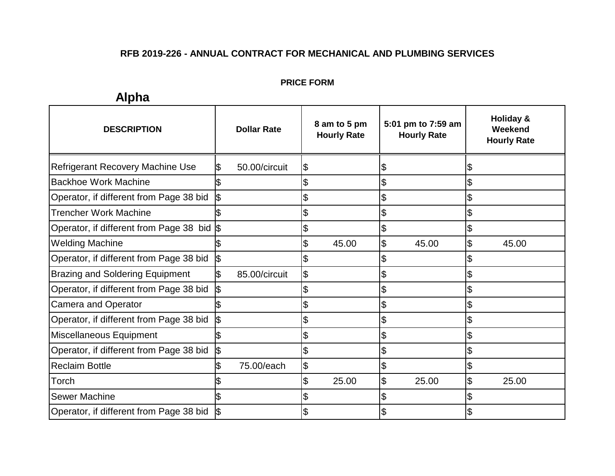#### **PRICE FORM**

| <b>DESCRIPTION</b>                      | <b>Dollar Rate</b> |                            | 8 am to 5 pm<br><b>Hourly Rate</b> | 5:01 pm to 7:59 am<br><b>Hourly Rate</b> |                            | Holiday &<br>Weekend<br><b>Hourly Rate</b> |
|-----------------------------------------|--------------------|----------------------------|------------------------------------|------------------------------------------|----------------------------|--------------------------------------------|
| <b>Refrigerant Recovery Machine Use</b> | 50.00/circuit      | \$                         |                                    | \$                                       | \$                         |                                            |
| <b>Backhoe Work Machine</b>             |                    | \$                         |                                    | \$                                       | \$                         |                                            |
| Operator, if different from Page 38 bid |                    | \$                         |                                    | \$                                       | $\boldsymbol{\mathsf{S}}$  |                                            |
| Trencher Work Machine                   |                    | \$                         |                                    | \$                                       | $\boldsymbol{\theta}$      |                                            |
| Operator, if different from Page 38 bid |                    | \$                         |                                    | \$                                       | $\boldsymbol{\mathsf{\$}}$ |                                            |
| <b>Welding Machine</b>                  |                    | $\boldsymbol{\mathsf{\$}}$ | 45.00                              | \$<br>45.00                              | \$                         | 45.00                                      |
| Operator, if different from Page 38 bid |                    | \$                         |                                    | \$                                       | \$                         |                                            |
| <b>Brazing and Soldering Equipment</b>  | 85.00/circuit      | $\boldsymbol{\theta}$      |                                    | \$                                       | \$                         |                                            |
| Operator, if different from Page 38 bid |                    | \$                         |                                    | \$                                       | $\boldsymbol{\mathsf{\$}}$ |                                            |
| <b>Camera and Operator</b>              |                    | $\boldsymbol{\mathsf{S}}$  |                                    | \$                                       | $\boldsymbol{\mathsf{S}}$  |                                            |
| Operator, if different from Page 38 bid |                    | \$                         |                                    | \$                                       | \$                         |                                            |
| Miscellaneous Equipment                 |                    | \$                         |                                    | \$                                       | \$                         |                                            |
| Operator, if different from Page 38 bid |                    | $\mathfrak{S}$             |                                    | \$                                       | \$                         |                                            |
| <b>Reclaim Bottle</b>                   | 75.00/each         | $\frac{1}{2}$              |                                    | \$                                       | $\boldsymbol{\mathsf{S}}$  |                                            |
| Torch                                   |                    | \$                         | 25.00                              | \$<br>25.00                              | $\boldsymbol{\theta}$      | 25.00                                      |
| <b>Sewer Machine</b>                    |                    | \$                         |                                    | \$                                       | $\boldsymbol{\mathsf{\$}}$ |                                            |
| Operator, if different from Page 38 bid |                    | $\overline{\theta}$        |                                    | \$                                       | $\sqrt{3}$                 |                                            |

# **Alpha**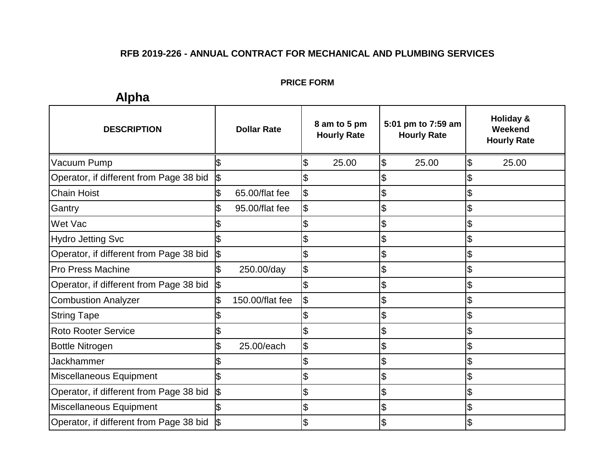#### **PRICE FORM**

# **Alpha**

| <b>DESCRIPTION</b>                      | <b>Dollar Rate</b>   | 8 am to 5 pm<br><b>Hourly Rate</b> | 5:01 pm to 7:59 am<br><b>Hourly Rate</b> | Holiday &<br>Weekend<br><b>Hourly Rate</b> |
|-----------------------------------------|----------------------|------------------------------------|------------------------------------------|--------------------------------------------|
| Vacuum Pump                             |                      | \$<br>25.00                        | \$<br>25.00                              | $\mathfrak{S}$<br>25.00                    |
| Operator, if different from Page 38 bid | 1\$                  |                                    | \$                                       |                                            |
| <b>Chain Hoist</b>                      | 65.00/flat fee<br>\$ | \$                                 | \$                                       |                                            |
| Gantry                                  | 95.00/flat fee       | \$                                 | \$                                       |                                            |
| Wet Vac                                 |                      |                                    | \$                                       |                                            |
| <b>Hydro Jetting Svc</b>                |                      |                                    | \$                                       | \$                                         |
| Operator, if different from Page 38 bid | \$                   |                                    | \$                                       |                                            |
| Pro Press Machine                       | 250.00/day           | \$                                 | \$                                       | \$                                         |
| Operator, if different from Page 38 bid |                      |                                    | \$                                       |                                            |
| <b>Combustion Analyzer</b>              | 150.00/flat fee      | \$                                 | \$                                       |                                            |
| <b>String Tape</b>                      |                      |                                    | \$                                       | \$                                         |
| <b>Roto Rooter Service</b>              |                      | \$                                 | \$                                       | \$                                         |
| <b>Bottle Nitrogen</b>                  | 25.00/each           | \$                                 | \$                                       | \$                                         |
| <b>Jackhammer</b>                       |                      |                                    | \$                                       | $\mathcal{L}$                              |
| Miscellaneous Equipment                 |                      |                                    | \$                                       | \$                                         |
| Operator, if different from Page 38 bid | \$                   | \$                                 | \$                                       | \$                                         |
| Miscellaneous Equipment                 |                      | \$                                 | \$                                       | \$                                         |
| Operator, if different from Page 38 bid |                      |                                    | \$                                       |                                            |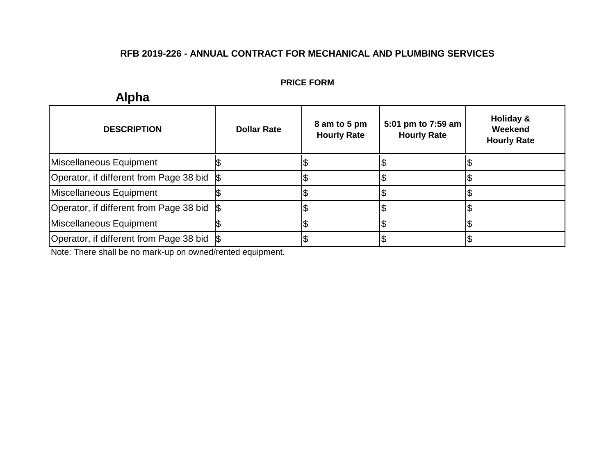#### **PRICE FORM**

#### **DESCRIPTION Dollar Rate 8 am to 5 pm Hourly Rate 5:01 pm to 7:59 am Hourly Rate Holiday & Weekend Hourly Rate**  $\begin{array}{ccc} \texttt{S} & \texttt{S} & \texttt{S} \end{array}$  $\begin{array}{ccc} \texttt{S} & \texttt{S} & \texttt{S} \end{array}$  $\begin{array}{ccc} \texttt{S} & \texttt{S} & \texttt{S} \end{array}$  $\begin{array}{ccc} \text{\$} & \text{\$} & \text{\$} \end{array}$  $\begin{array}{ccc} \texttt{S} & \texttt{S} & \texttt{S} \end{array}$  $\begin{array}{ccc} \text{\$} & \text{\$} & \text{\$} \end{array}$ Miscellaneous Equipment Operator, if different from Page 38 bid  $\frac{1}{3}$ Miscellaneous Equipment Operator, if different from Page 38 bid \$ Miscellaneous Equipment Operator, if different from Page 38 bid \$

Note: There shall be no mark-up on owned/rented equipment.

## **Alpha**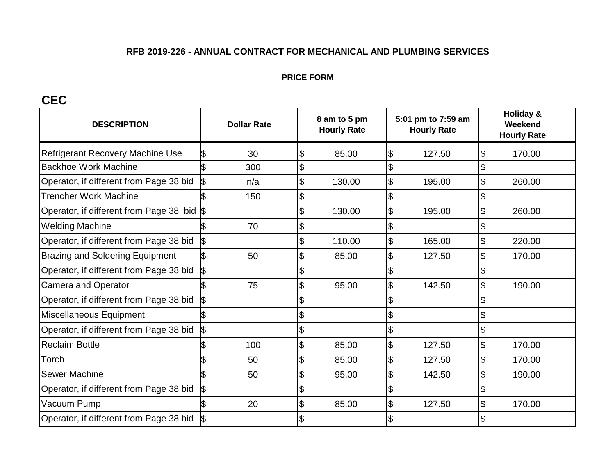#### **PRICE FORM**

## **CEC**

| <b>DESCRIPTION</b>                      | <b>Dollar Rate</b> |                           | 8 am to 5 pm<br><b>Hourly Rate</b> |                           | 5:01 pm to 7:59 am<br><b>Hourly Rate</b> |                | Holiday &<br>Weekend<br><b>Hourly Rate</b> |  |  |
|-----------------------------------------|--------------------|---------------------------|------------------------------------|---------------------------|------------------------------------------|----------------|--------------------------------------------|--|--|
| <b>Refrigerant Recovery Machine Use</b> | ß<br>30            | \$                        | 85.00                              | $\overline{\theta}$       | 127.50                                   | \$             | 170.00                                     |  |  |
| <b>Backhoe Work Machine</b>             | 300                | \$                        |                                    | \$                        |                                          |                |                                            |  |  |
| Operator, if different from Page 38 bid | n/a                | \$                        | 130.00                             | $\boldsymbol{\theta}$     | 195.00                                   | \$             | 260.00                                     |  |  |
| <b>Trencher Work Machine</b>            | 150                | \$                        |                                    | \$                        |                                          |                |                                            |  |  |
| Operator, if different from Page 38 bid |                    | \$                        | 130.00                             | $\overline{\mathbf{e}}$   | 195.00                                   | \$             | 260.00                                     |  |  |
| <b>Welding Machine</b>                  | 70                 | \$                        |                                    | $\boldsymbol{\mathsf{S}}$ |                                          |                |                                            |  |  |
| Operator, if different from Page 38 bid |                    | $\mathfrak{L}$            | 110.00                             | $\overline{\mathcal{E}}$  | 165.00                                   | $\mathfrak{L}$ | 220.00                                     |  |  |
| <b>Brazing and Soldering Equipment</b>  | 50                 | \$                        | 85.00                              | $\mathfrak{S}$            | 127.50                                   | \$             | 170.00                                     |  |  |
| Operator, if different from Page 38 bid | \$                 | $\boldsymbol{\mathsf{S}}$ |                                    | \$                        |                                          |                |                                            |  |  |
| <b>Camera and Operator</b>              | 75                 | $\boldsymbol{\theta}$     | 95.00                              | $\overline{\theta}$       | 142.50                                   | \$             | 190.00                                     |  |  |
| Operator, if different from Page 38 bid |                    | $\mathfrak{S}$            |                                    |                           |                                          |                |                                            |  |  |
| Miscellaneous Equipment                 |                    | \$                        |                                    | \$                        |                                          |                |                                            |  |  |
| Operator, if different from Page 38 bid | \$                 | $\mathfrak{S}$            |                                    | $\boldsymbol{\theta}$     |                                          |                |                                            |  |  |
| <b>Reclaim Bottle</b>                   | 100                | $\mathfrak{S}$            | 85.00                              | $\overline{\theta}$       | 127.50                                   | \$             | 170.00                                     |  |  |
| Torch                                   | 50                 | \$                        | 85.00                              | $\overline{\mathbf{e}}$   | 127.50                                   | \$             | 170.00                                     |  |  |
| <b>Sewer Machine</b>                    | 50                 | \$                        | 95.00                              | $\boldsymbol{\theta}$     | 142.50                                   |                | 190.00                                     |  |  |
| Operator, if different from Page 38 bid | l\$                | \$                        |                                    |                           |                                          |                |                                            |  |  |
| Vacuum Pump                             | 20                 | \$                        | 85.00                              | $\mathfrak{S}$            | 127.50                                   | \$             | 170.00                                     |  |  |
| Operator, if different from Page 38 bid |                    |                           |                                    |                           |                                          |                |                                            |  |  |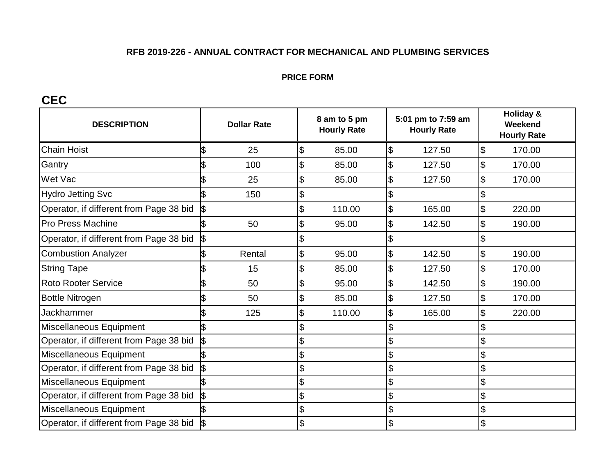#### **PRICE FORM**

## **CEC**

| <b>DESCRIPTION</b>                      | <b>Dollar Rate</b>      | 8 am to 5 pm<br><b>Hourly Rate</b> | 5:01 pm to 7:59 am<br><b>Hourly Rate</b> | <b>Holiday &amp;</b><br>Weekend<br><b>Hourly Rate</b> |  |
|-----------------------------------------|-------------------------|------------------------------------|------------------------------------------|-------------------------------------------------------|--|
| <b>Chain Hoist</b>                      | 25<br>\$                | $\boldsymbol{\theta}$<br>85.00     | $\overline{\theta}$<br>127.50            | \$<br>170.00                                          |  |
| Gantry                                  | 100                     | \$<br>85.00                        | $\boldsymbol{\theta}$<br>127.50          | \$<br>170.00                                          |  |
| <b>Wet Vac</b>                          | 25                      | \$<br>85.00                        | \$<br>127.50                             | \$<br>170.00                                          |  |
| <b>Hydro Jetting Svc</b>                | 150                     | \$                                 | \$                                       |                                                       |  |
| Operator, if different from Page 38 bid |                         | \$<br>110.00                       | $\mathfrak{S}$<br>165.00                 | \$<br>220.00                                          |  |
| <b>Pro Press Machine</b>                | 50                      | \$<br>95.00                        | \$<br>142.50                             | \$<br>190.00                                          |  |
| Operator, if different from Page 38 bid | $\mathbf{\mathfrak{S}}$ | \$                                 | \$                                       |                                                       |  |
| <b>Combustion Analyzer</b>              | Rental<br>I\$           | $\mathfrak{S}$<br>95.00            | $\boldsymbol{\mathsf{S}}$<br>142.50      | \$<br>190.00                                          |  |
| <b>String Tape</b>                      | 15                      | \$<br>85.00                        | $\boldsymbol{\theta}$<br>127.50          | \$<br>170.00                                          |  |
| <b>Roto Rooter Service</b>              | 50                      | \$<br>95.00                        | $\boldsymbol{\theta}$<br>142.50          | \$<br>190.00                                          |  |
| <b>Bottle Nitrogen</b>                  | 50                      | \$<br>85.00                        | $\boldsymbol{\theta}$<br>127.50          | $\mathfrak{L}$<br>170.00                              |  |
| <b>Jackhammer</b>                       | 125                     | 110.00<br>\$                       | \$<br>165.00                             | \$<br>220.00                                          |  |
| Miscellaneous Equipment                 |                         | \$                                 | \$                                       |                                                       |  |
| Operator, if different from Page 38 bid | \$                      | \$                                 | \$                                       |                                                       |  |
| Miscellaneous Equipment                 |                         | \$                                 | \$                                       |                                                       |  |
| Operator, if different from Page 38 bid | \$                      | \$                                 | \$                                       |                                                       |  |
| Miscellaneous Equipment                 |                         | \$                                 | \$                                       |                                                       |  |
| Operator, if different from Page 38 bid |                         | \$                                 | \$                                       | \$                                                    |  |
| Miscellaneous Equipment                 |                         | \$                                 | \$                                       | \$                                                    |  |
| Operator, if different from Page 38 bid |                         | \$                                 | \$                                       |                                                       |  |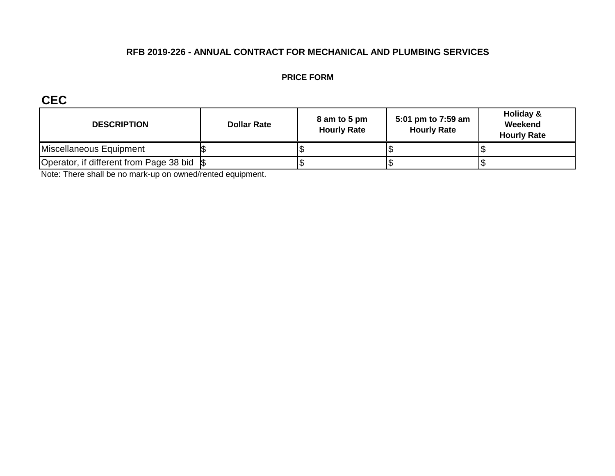#### **PRICE FORM**

**CEC**

| <b>DESCRIPTION</b>                          | <b>Dollar Rate</b> | 8 am to 5 pm<br><b>Hourly Rate</b> | 5:01 pm to 7:59 am<br><b>Hourly Rate</b> | Holiday &<br>Weekend<br><b>Hourly Rate</b> |
|---------------------------------------------|--------------------|------------------------------------|------------------------------------------|--------------------------------------------|
| Miscellaneous Equipment                     |                    |                                    |                                          |                                            |
| Operator, if different from Page 38 bid \\$ |                    |                                    |                                          |                                            |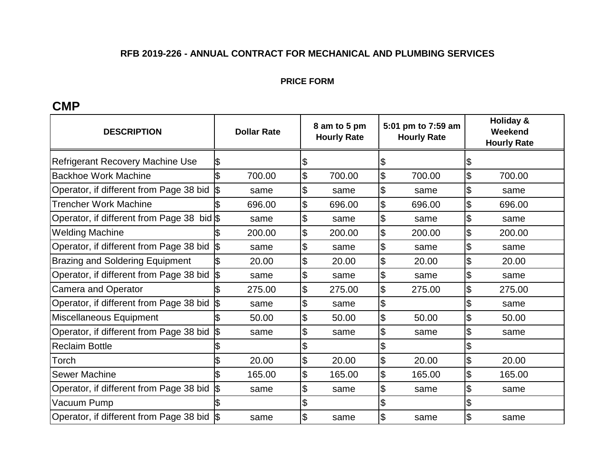#### **PRICE FORM**

## **CMP**

| <b>DESCRIPTION</b>                            | <b>Dollar Rate</b> | 8 am to 5 pm<br><b>Hourly Rate</b> | 5:01 pm to 7:59 am<br><b>Hourly Rate</b> | <b>Holiday &amp;</b><br>Weekend<br><b>Hourly Rate</b> |
|-----------------------------------------------|--------------------|------------------------------------|------------------------------------------|-------------------------------------------------------|
| <b>Refrigerant Recovery Machine Use</b>       | \$                 |                                    | 1\$                                      |                                                       |
| <b>Backhoe Work Machine</b>                   | 700.00             | \$<br>700.00                       | l\$<br>700.00                            | \$<br>700.00                                          |
| Operator, if different from Page 38 bid $\$\$ | same               | \$<br>same                         | Ι\$<br>same                              | \$<br>same                                            |
| <b>Trencher Work Machine</b>                  | 696.00             | \$<br>696.00                       | 1\$<br>696.00                            | \$<br>696.00                                          |
| Operator, if different from Page 38 bid $\$\$ | same               | \$<br>same                         | Ι\$<br>same                              | \$<br>same                                            |
| <b>Welding Machine</b>                        | ß<br>200.00        | \$<br>200.00                       | 1\$<br>200.00                            | \$<br>200.00                                          |
| Operator, if different from Page 38 bid       | <b>S</b><br>same   | \$<br>same                         | 1\$<br>same                              | \$<br>same                                            |
| <b>Brazing and Soldering Equipment</b>        | 1\$<br>20.00       | \$<br>20.00                        | Ι\$<br>20.00                             | \$<br>20.00                                           |
| Operator, if different from Page 38 bid       | <b>S</b><br>same   | \$<br>same                         | $\overline{\theta}$<br>same              | \$<br>same                                            |
| <b>Camera and Operator</b>                    | 275.00             | \$<br>275.00                       | 1\$<br>275.00                            | \$<br>275.00                                          |
| Operator, if different from Page 38 bid       | same               | \$<br>same                         | $\frac{1}{2}$                            | \$<br>same                                            |
| Miscellaneous Equipment                       | 50.00              | \$<br>50.00                        | 1\$<br>50.00                             | \$<br>50.00                                           |
| Operator, if different from Page 38 bid       | <b>\$</b><br>same  | \$<br>same                         | $\frac{1}{2}$<br>same                    | \$<br>same                                            |
| <b>Reclaim Bottle</b>                         |                    |                                    | $\overline{\theta}$                      | \$                                                    |
| Torch                                         | 20.00              | \$<br>20.00                        | 1\$<br>20.00                             | \$<br>20.00                                           |
| <b>Sewer Machine</b>                          | 165.00             | \$<br>165.00                       | 1\$<br>165.00                            | \$<br>165.00                                          |
| Operator, if different from Page 38 bid       | <b>S</b><br>same   | \$<br>same                         | 1\$<br>same                              | \$<br>same                                            |
| Vacuum Pump                                   |                    |                                    | Ι\$                                      |                                                       |
| Operator, if different from Page 38 bid \$    | same               | \$<br>same                         | $\frac{1}{2}$<br>same                    | \$<br>same                                            |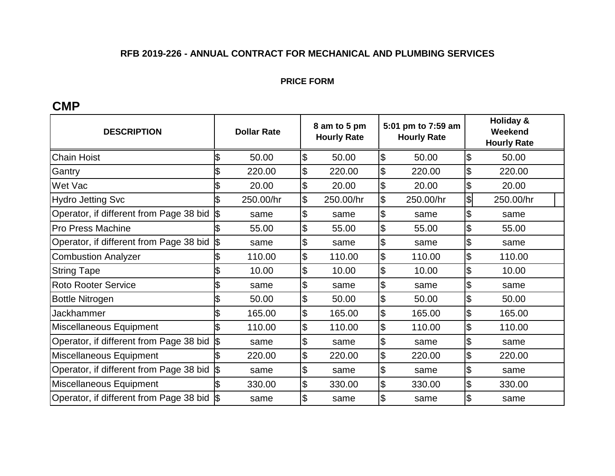#### **PRICE FORM**

## **CMP**

| <b>DESCRIPTION</b>                          |           | <b>Dollar Rate</b> |    | 8 am to 5 pm<br><b>Hourly Rate</b> |                           | 5:01 pm to 7:59 am<br><b>Hourly Rate</b> | <b>Holiday &amp;</b><br>Weekend<br><b>Hourly Rate</b> |           |  |
|---------------------------------------------|-----------|--------------------|----|------------------------------------|---------------------------|------------------------------------------|-------------------------------------------------------|-----------|--|
| <b>Chain Hoist</b>                          | \$        | 50.00              | \$ | 50.00                              | $\frac{1}{2}$             | 50.00                                    | \$                                                    | 50.00     |  |
| Gantry                                      | \$        | 220.00             | \$ | 220.00                             | \$                        | 220.00                                   | \$                                                    | 220.00    |  |
| Wet Vac                                     | \$        | 20.00              | \$ | 20.00                              | $\frac{1}{2}$             | 20.00                                    | \$                                                    | 20.00     |  |
| <b>Hydro Jetting Svc</b>                    | \$        | 250.00/hr          | \$ | 250.00/hr                          | $\boldsymbol{\mathsf{S}}$ | 250.00/hr                                | \$                                                    | 250.00/hr |  |
| Operator, if different from Page 38 bid     | \$        | same               | \$ | same                               | $\frac{1}{2}$             | same                                     | \$                                                    | same      |  |
| <b>Pro Press Machine</b>                    |           | 55.00              | \$ | 55.00                              | $\frac{1}{2}$             | 55.00                                    | \$                                                    | 55.00     |  |
| Operator, if different from Page 38 bid     | 1\$       | same               | \$ | same                               | $\frac{1}{2}$             | same                                     | \$                                                    | same      |  |
| <b>Combustion Analyzer</b>                  | \$        | 110.00             | \$ | 110.00                             | $\frac{1}{2}$             | 110.00                                   | \$                                                    | 110.00    |  |
| <b>String Tape</b>                          | \$        | 10.00              | \$ | 10.00                              | $\frac{1}{2}$             | 10.00                                    | $\boldsymbol{\mathsf{S}}$                             | 10.00     |  |
| <b>Roto Rooter Service</b>                  | \$        | same               | \$ | same                               | $\frac{1}{2}$             | same                                     | \$                                                    | same      |  |
| <b>Bottle Nitrogen</b>                      | \$        | 50.00              | \$ | 50.00                              | $\frac{1}{2}$             | 50.00                                    | \$                                                    | 50.00     |  |
| Jackhammer                                  | \$        | 165.00             | \$ | 165.00                             | $\overline{\theta}$       | 165.00                                   | \$                                                    | 165.00    |  |
| Miscellaneous Equipment                     |           | 110.00             | \$ | 110.00                             | $\overline{\mathcal{S}}$  | 110.00                                   | \$                                                    | 110.00    |  |
| Operator, if different from Page 38 bid     | \$        | same               | \$ | same                               | $\frac{1}{2}$             | same                                     | \$                                                    | same      |  |
| Miscellaneous Equipment                     | \$        | 220.00             | \$ | 220.00                             | $\frac{1}{2}$             | 220.00                                   | \$                                                    | 220.00    |  |
| Operator, if different from Page 38 bid     | <b>\$</b> | same               | \$ | same                               | \$                        | same                                     | \$                                                    | same      |  |
| Miscellaneous Equipment                     |           | 330.00             | \$ | 330.00                             | 1\$                       | 330.00                                   | \$                                                    | 330.00    |  |
| Operator, if different from Page 38 bid  \$ |           | same               | \$ | same                               | $\frac{1}{2}$             | same                                     | \$                                                    | same      |  |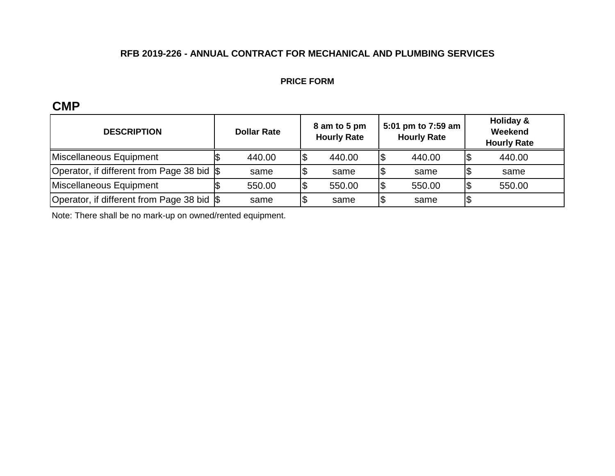#### **PRICE FORM**

## **CMP**

| <b>DESCRIPTION</b>                          | <b>Dollar Rate</b> | 5:01 pm to 7:59 am<br>8 am to 5 pm<br><b>Hourly Rate</b><br><b>Hourly Rate</b> |     | Holiday &<br>Weekend<br><b>Hourly Rate</b> |        |
|---------------------------------------------|--------------------|--------------------------------------------------------------------------------|-----|--------------------------------------------|--------|
| Miscellaneous Equipment                     | 440.00             | 440.00                                                                         | 1\$ | 440.00                                     | 440.00 |
| Operator, if different from Page 38 bid \\$ | same               | same                                                                           | 1\$ | same                                       | same   |
| Miscellaneous Equipment                     | 550.00             | 550.00                                                                         | 1\$ | 550.00                                     | 550.00 |
| Operator, if different from Page 38 bid \$  | same               | same                                                                           | 1\$ | same                                       |        |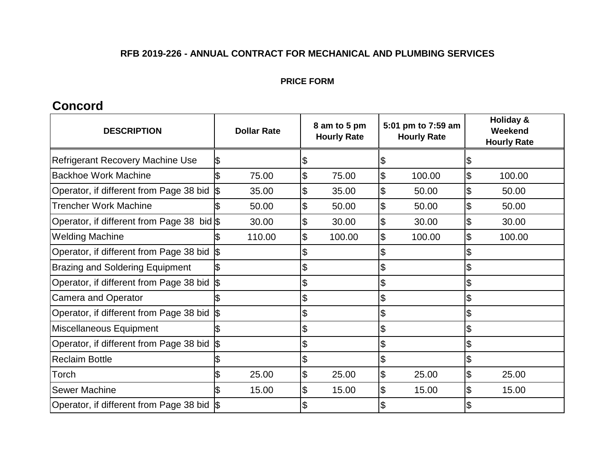#### **PRICE FORM**

## **Concord**

| <b>DESCRIPTION</b>                                    |     | <b>Dollar Rate</b> | 8 am to 5 pm<br><b>Hourly Rate</b> |        | 5:01 pm to 7:59 am<br><b>Hourly Rate</b> |        | Holiday &<br>Weekend<br><b>Hourly Rate</b> |
|-------------------------------------------------------|-----|--------------------|------------------------------------|--------|------------------------------------------|--------|--------------------------------------------|
| <b>Refrigerant Recovery Machine Use</b>               | 1\$ |                    | \$                                 |        | \$                                       |        | \$                                         |
| <b>Backhoe Work Machine</b>                           | I\$ | 75.00              | \$                                 | 75.00  | 1\$                                      | 100.00 | \$<br>100.00                               |
| Operator, if different from Page 38 bid \$            |     | 35.00              | \$                                 | 35.00  | \$                                       | 50.00  | \$<br>50.00                                |
| <b>Trencher Work Machine</b>                          |     | 50.00              | \$                                 | 50.00  | l\$                                      | 50.00  | \$<br>50.00                                |
| Operator, if different from Page 38 bid \$            |     | 30.00              | \$                                 | 30.00  | $\mathfrak{S}$                           | 30.00  | \$<br>30.00                                |
| <b>Welding Machine</b>                                | ß   | 110.00             | \$                                 | 100.00 | $\boldsymbol{\mathsf{\$}}$               | 100.00 | \$<br>100.00                               |
| Operator, if different from Page 38 bid \$            |     |                    |                                    |        | S)                                       |        | \$                                         |
| <b>Brazing and Soldering Equipment</b>                |     |                    |                                    |        | $\boldsymbol{\mathsf{S}}$                |        | \$                                         |
| Operator, if different from Page 38 bid $\frac{1}{9}$ |     |                    | \$                                 |        | $\boldsymbol{\mathsf{S}}$                |        | \$                                         |
| <b>Camera and Operator</b>                            | ß   |                    | \$                                 |        | $\boldsymbol{\mathsf{S}}$                |        | \$                                         |
| Operator, if different from Page 38 bid  \$           |     |                    | \$                                 |        | $\boldsymbol{\mathsf{\$}}$               |        | \$                                         |
| Miscellaneous Equipment                               | ß   |                    | \$                                 |        | $\boldsymbol{\mathsf{\$}}$               |        | \$                                         |
| Operator, if different from Page 38 bid \$            |     |                    | \$                                 |        | $\boldsymbol{\mathsf{\$}}$               |        | \$                                         |
| <b>Reclaim Bottle</b>                                 |     |                    | \$                                 |        | $\boldsymbol{\mathsf{S}}$                |        | \$                                         |
| Torch                                                 |     | 25.00              | \$                                 | 25.00  | $\overline{\theta}$                      | 25.00  | \$<br>25.00                                |
| <b>Sewer Machine</b>                                  |     | 15.00              | \$                                 | 15.00  | $\mathfrak{S}$                           | 15.00  | \$<br>15.00                                |
| Operator, if different from Page 38 bid \$            |     |                    |                                    |        |                                          |        |                                            |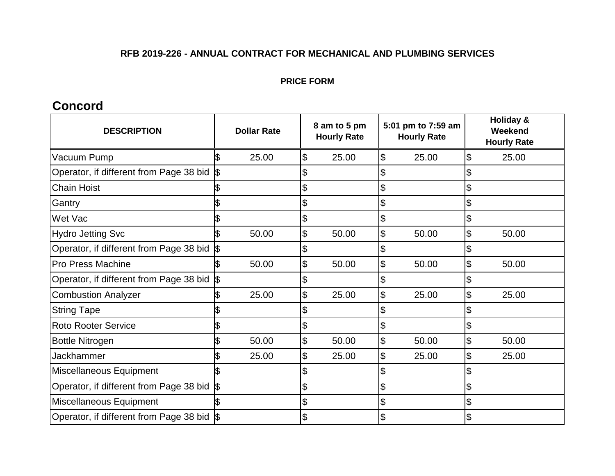#### **PRICE FORM**

## **Concord**

| <b>DESCRIPTION</b>                         |            | <b>Dollar Rate</b> | 5:01 pm to 7:59 am<br>8 am to 5 pm<br><b>Hourly Rate</b><br><b>Hourly Rate</b> |                            | <b>Holiday &amp;</b><br>Weekend<br><b>Hourly Rate</b> |             |
|--------------------------------------------|------------|--------------------|--------------------------------------------------------------------------------|----------------------------|-------------------------------------------------------|-------------|
| Vacuum Pump                                | \$         | 25.00              | \$<br>25.00                                                                    | $\overline{\theta}$        | 25.00                                                 | \$<br>25.00 |
| Operator, if different from Page 38 bid \$ |            |                    |                                                                                | $\boldsymbol{\mathsf{S}}$  |                                                       |             |
| <b>Chain Hoist</b>                         | \$         |                    | \$                                                                             | \$                         |                                                       | \$          |
| Gantry                                     |            |                    |                                                                                | \$                         |                                                       | \$          |
| Wet Vac                                    |            |                    |                                                                                | \$                         |                                                       | \$          |
| <b>Hydro Jetting Svc</b>                   |            | 50.00              | \$<br>50.00                                                                    | \$                         | 50.00                                                 | \$<br>50.00 |
| Operator, if different from Page 38 bid    | 1\$        |                    |                                                                                | \$                         |                                                       | \$          |
| <b>Pro Press Machine</b>                   | ß          | 50.00              | \$<br>50.00                                                                    | $\overline{\theta}$        | 50.00                                                 | \$<br>50.00 |
| Operator, if different from Page 38 bid    | $\sqrt{3}$ |                    | \$                                                                             | $\boldsymbol{\mathsf{S}}$  |                                                       | \$          |
| <b>Combustion Analyzer</b>                 | \$         | 25.00              | \$<br>25.00                                                                    | $\overline{\theta}$        | 25.00                                                 | \$<br>25.00 |
| <b>String Tape</b>                         |            |                    |                                                                                | \$                         |                                                       |             |
| <b>Roto Rooter Service</b>                 |            |                    | \$                                                                             | \$                         |                                                       | \$          |
| <b>Bottle Nitrogen</b>                     | \$         | 50.00              | \$<br>50.00                                                                    | $\overline{\theta}$        | 50.00                                                 | \$<br>50.00 |
| <b>Jackhammer</b>                          | \$         | 25.00              | \$<br>25.00                                                                    | $\overline{\mathcal{S}}$   | 25.00                                                 | \$<br>25.00 |
| Miscellaneous Equipment                    | \$         |                    |                                                                                | \$                         |                                                       | \$          |
| Operator, if different from Page 38 bid    | $\sqrt{3}$ |                    | \$                                                                             | $\boldsymbol{\mathsf{\$}}$ |                                                       | \$          |
| Miscellaneous Equipment                    |            |                    | \$                                                                             | $\boldsymbol{\mathsf{\$}}$ |                                                       | \$          |
| Operator, if different from Page 38 bid S  |            |                    |                                                                                | \$                         |                                                       |             |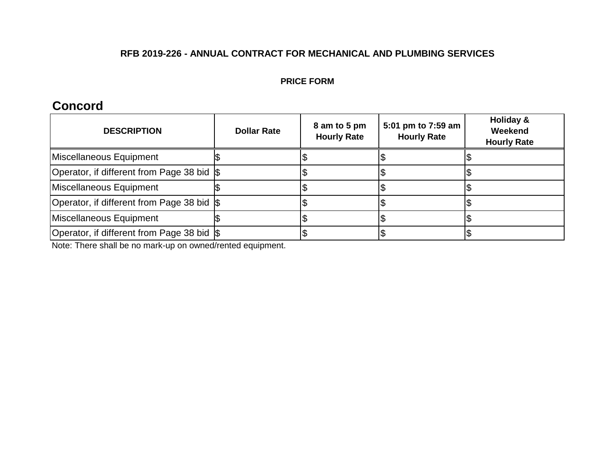#### **PRICE FORM**

## **Concord**

| <b>DESCRIPTION</b>                          | <b>Dollar Rate</b> | 8 am to 5 pm<br><b>Hourly Rate</b> | 5:01 pm to 7:59 am<br><b>Hourly Rate</b> | Holiday &<br>Weekend<br><b>Hourly Rate</b> |
|---------------------------------------------|--------------------|------------------------------------|------------------------------------------|--------------------------------------------|
| Miscellaneous Equipment                     |                    |                                    |                                          |                                            |
| Operator, if different from Page 38 bid \$  |                    |                                    |                                          |                                            |
| Miscellaneous Equipment                     |                    |                                    |                                          |                                            |
| Operator, if different from Page 38 bid \\$ |                    |                                    |                                          |                                            |
| Miscellaneous Equipment                     |                    |                                    |                                          |                                            |
| Operator, if different from Page 38 bid \\$ |                    |                                    |                                          |                                            |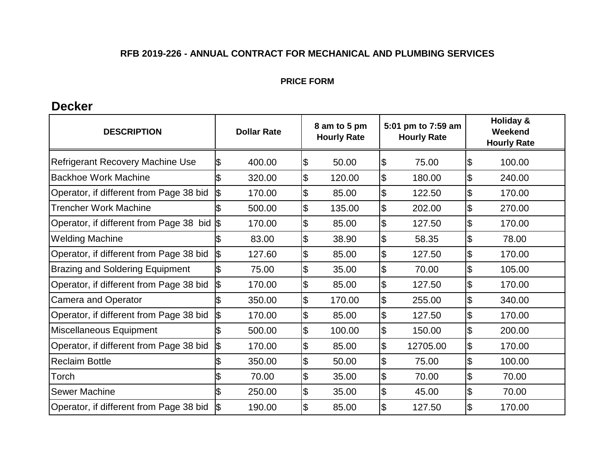#### **PRICE FORM**

## **Decker**

| <b>DESCRIPTION</b>                      | <b>Dollar Rate</b> |        |    | 8 am to 5 pm<br><b>Hourly Rate</b> | 5:01 pm to 7:59 am<br><b>Hourly Rate</b> |          |    | <b>Holiday &amp;</b><br>Weekend<br><b>Hourly Rate</b> |
|-----------------------------------------|--------------------|--------|----|------------------------------------|------------------------------------------|----------|----|-------------------------------------------------------|
| Refrigerant Recovery Machine Use        | \$                 | 400.00 | \$ | 50.00                              | Ι\$                                      | 75.00    | \$ | 100.00                                                |
| <b>Backhoe Work Machine</b>             |                    | 320.00 | \$ | 120.00                             | \$                                       | 180.00   | \$ | 240.00                                                |
| Operator, if different from Page 38 bid | \$                 | 170.00 | \$ | 85.00                              | $\overline{\theta}$                      | 122.50   | \$ | 170.00                                                |
| <b>Trencher Work Machine</b>            |                    | 500.00 | \$ | 135.00                             | \$                                       | 202.00   | \$ | 270.00                                                |
| Operator, if different from Page 38 bid |                    | 170.00 | \$ | 85.00                              | \$                                       | 127.50   | \$ | 170.00                                                |
| <b>Welding Machine</b>                  |                    | 83.00  | \$ | 38.90                              | \$                                       | 58.35    | \$ | 78.00                                                 |
| Operator, if different from Page 38 bid | \$                 | 127.60 | \$ | 85.00                              | \$                                       | 127.50   | \$ | 170.00                                                |
| <b>Brazing and Soldering Equipment</b>  |                    | 75.00  | \$ | 35.00                              | \$                                       | 70.00    | \$ | 105.00                                                |
| Operator, if different from Page 38 bid | \$                 | 170.00 | \$ | 85.00                              | \$                                       | 127.50   | \$ | 170.00                                                |
| <b>Camera and Operator</b>              |                    | 350.00 | \$ | 170.00                             | $\overline{\mathcal{E}}$                 | 255.00   | \$ | 340.00                                                |
| Operator, if different from Page 38 bid | \$                 | 170.00 | \$ | 85.00                              | $\boldsymbol{\mathsf{S}}$                | 127.50   | \$ | 170.00                                                |
| Miscellaneous Equipment                 |                    | 500.00 | \$ | 100.00                             | \$                                       | 150.00   | \$ | 200.00                                                |
| Operator, if different from Page 38 bid | \$                 | 170.00 | \$ | 85.00                              | \$                                       | 12705.00 | \$ | 170.00                                                |
| <b>Reclaim Bottle</b>                   |                    | 350.00 | \$ | 50.00                              | \$                                       | 75.00    | \$ | 100.00                                                |
| Torch                                   |                    | 70.00  | \$ | 35.00                              | $\overline{\mathcal{E}}$                 | 70.00    | \$ | 70.00                                                 |
| <b>Sewer Machine</b>                    |                    | 250.00 | \$ | 35.00                              | \$                                       | 45.00    | \$ | 70.00                                                 |
| Operator, if different from Page 38 bid |                    | 190.00 | \$ | 85.00                              | \$                                       | 127.50   | \$ | 170.00                                                |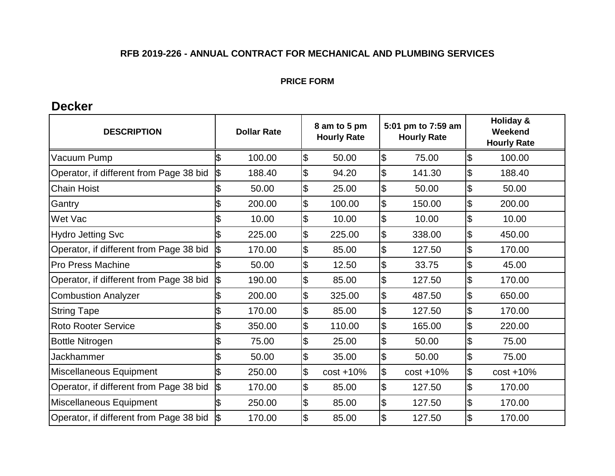#### **PRICE FORM**

## **Decker**

| <b>DESCRIPTION</b>                      | <b>Dollar Rate</b> |        | 8 am to 5 pm<br><b>Hourly Rate</b> |              |                     | 5:01 pm to 7:59 am<br><b>Hourly Rate</b> | <b>Holiday &amp;</b><br>Weekend<br><b>Hourly Rate</b> |
|-----------------------------------------|--------------------|--------|------------------------------------|--------------|---------------------|------------------------------------------|-------------------------------------------------------|
| Vacuum Pump                             |                    | 100.00 | \$                                 | 50.00        | $\overline{\theta}$ | 75.00                                    | \$<br>100.00                                          |
| Operator, if different from Page 38 bid | \$                 | 188.40 | $\mathfrak{S}$                     | 94.20        | \$                  | 141.30                                   | \$<br>188.40                                          |
| <b>Chain Hoist</b>                      |                    | 50.00  | \$                                 | 25.00        | \$                  | 50.00                                    | \$<br>50.00                                           |
| Gantry                                  |                    | 200.00 | \$                                 | 100.00       | \$                  | 150.00                                   | \$<br>200.00                                          |
| Wet Vac                                 |                    | 10.00  | $\mathfrak{S}$                     | 10.00        | \$                  | 10.00                                    | \$<br>10.00                                           |
| <b>Hydro Jetting Svc</b>                |                    | 225.00 | \$                                 | 225.00       | \$                  | 338.00                                   | \$<br>450.00                                          |
| Operator, if different from Page 38 bid |                    | 170.00 | \$                                 | 85.00        | \$                  | 127.50                                   | \$<br>170.00                                          |
| <b>Pro Press Machine</b>                |                    | 50.00  | $\mathfrak{S}$                     | 12.50        | \$                  | 33.75                                    | \$<br>45.00                                           |
| Operator, if different from Page 38 bid | l\$                | 190.00 | \$                                 | 85.00        | \$                  | 127.50                                   | \$<br>170.00                                          |
| <b>Combustion Analyzer</b>              |                    | 200.00 | \$                                 | 325.00       | \$                  | 487.50                                   | \$<br>650.00                                          |
| <b>String Tape</b>                      |                    | 170.00 | $\mathfrak{S}$                     | 85.00        | \$                  | 127.50                                   | \$<br>170.00                                          |
| <b>Roto Rooter Service</b>              |                    | 350.00 | \$                                 | 110.00       | \$                  | 165.00                                   | \$<br>220.00                                          |
| <b>Bottle Nitrogen</b>                  |                    | 75.00  | \$                                 | 25.00        | \$                  | 50.00                                    | \$<br>75.00                                           |
| <b>Jackhammer</b>                       |                    | 50.00  | $\mathfrak{S}$                     | 35.00        | \$                  | 50.00                                    | \$<br>75.00                                           |
| Miscellaneous Equipment                 |                    | 250.00 | \$                                 | $cost + 10%$ | \$                  | $cost + 10%$                             | \$<br>$cost + 10%$                                    |
| Operator, if different from Page 38 bid | \$                 | 170.00 | \$                                 | 85.00        | \$                  | 127.50                                   | \$<br>170.00                                          |
| Miscellaneous Equipment                 |                    | 250.00 | $\mathfrak{S}$                     | 85.00        | \$                  | 127.50                                   | \$<br>170.00                                          |
| Operator, if different from Page 38 bid |                    | 170.00 |                                    | 85.00        | \$                  | 127.50                                   | \$<br>170.00                                          |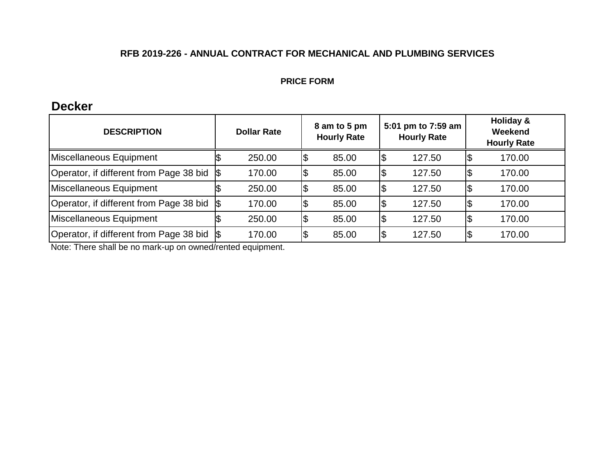#### **PRICE FORM**

## **Decker**

| <b>DESCRIPTION</b>                          | <b>Dollar Rate</b> |        |    | 8 am to 5 pm<br><b>Hourly Rate</b> |     | 5:01 pm to 7:59 am<br><b>Hourly Rate</b> | Holiday &<br>Weekend<br><b>Hourly Rate</b> |
|---------------------------------------------|--------------------|--------|----|------------------------------------|-----|------------------------------------------|--------------------------------------------|
| Miscellaneous Equipment                     |                    | 250.00 |    | 85.00                              | \$  | 127.50                                   | 170.00                                     |
| Operator, if different from Page 38 bid \\$ |                    | 170.00 | จ  | 85.00                              | \$  | 127.50                                   | 170.00                                     |
| Miscellaneous Equipment                     |                    | 250.00 | \$ | 85.00                              | \$  | 127.50                                   | 170.00                                     |
| Operator, if different from Page 38 bid     |                    | 170.00 |    | 85.00                              | \$  | 127.50                                   | 170.00                                     |
| Miscellaneous Equipment                     |                    | 250.00 |    | 85.00                              | Ι\$ | 127.50                                   | 170.00                                     |
| Operator, if different from Page 38 bid S   |                    | 170.00 |    | 85.00                              | Ι\$ | 127.50                                   | 170.00                                     |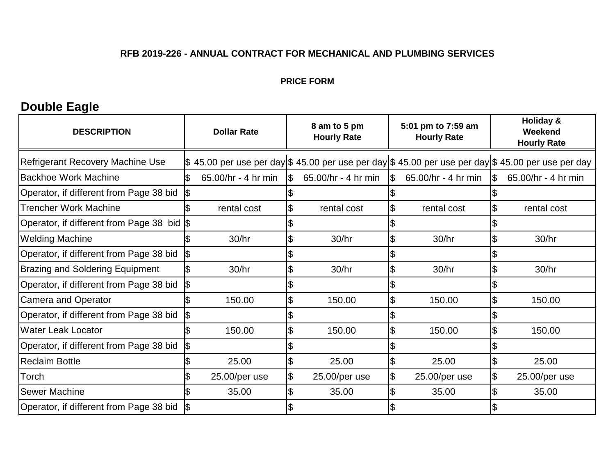#### **PRICE FORM**

# **Double Eagle**

| <b>DESCRIPTION</b>                         |     | <b>Dollar Rate</b>  |     | 8 am to 5 pm<br><b>Hourly Rate</b>                                                                          |               | 5:01 pm to 7:59 am<br><b>Hourly Rate</b> |                          | Holiday &<br>Weekend<br><b>Hourly Rate</b> |
|--------------------------------------------|-----|---------------------|-----|-------------------------------------------------------------------------------------------------------------|---------------|------------------------------------------|--------------------------|--------------------------------------------|
| <b>Refrigerant Recovery Machine Use</b>    |     |                     |     | $\$$ 45.00 per use per day $\$$ 45.00 per use per day $\$$ 45.00 per use per day $\$$ 45.00 per use per day |               |                                          |                          |                                            |
| <b>Backhoe Work Machine</b>                |     | 65.00/hr - 4 hr min | 1\$ | 65.00/hr - 4 hr min                                                                                         | $\sqrt{3}$    | 65.00/hr - 4 hr min                      | $\sqrt{3}$               | 65.00/hr - 4 hr min                        |
| Operator, if different from Page 38 bid    | 1\$ |                     |     |                                                                                                             |               |                                          |                          |                                            |
| <b>Trencher Work Machine</b>               |     | rental cost         |     | rental cost                                                                                                 |               | rental cost                              | 'S                       | rental cost                                |
| Operator, if different from Page 38 bid \$ |     |                     |     |                                                                                                             |               |                                          |                          |                                            |
| <b>Welding Machine</b>                     |     | 30/hr               |     | 30/hr                                                                                                       | $\mathbf{\$}$ | 30/hr                                    | \$                       | 30/hr                                      |
| Operator, if different from Page 38 bid    | I\$ |                     |     |                                                                                                             |               |                                          |                          |                                            |
| <b>Brazing and Soldering Equipment</b>     | \$  | 30/hr               |     | 30/hr                                                                                                       | \$            | 30/hr                                    | \$                       | 30/hr                                      |
| Operator, if different from Page 38 bid    | 1\$ |                     |     |                                                                                                             |               |                                          |                          |                                            |
| Camera and Operator                        |     | 150.00              | \$  | 150.00                                                                                                      | \$            | 150.00                                   | $\overline{\mathcal{S}}$ | 150.00                                     |
| Operator, if different from Page 38 bid    | 1\$ |                     |     |                                                                                                             |               |                                          |                          |                                            |
| <b>Water Leak Locator</b>                  |     | 150.00              | \$  | 150.00                                                                                                      | 1\$           | 150.00                                   | $\overline{\bm{3}}$      | 150.00                                     |
| Operator, if different from Page 38 bid    | l\$ |                     |     |                                                                                                             |               |                                          |                          |                                            |
| <b>Reclaim Bottle</b>                      |     | 25.00               |     | 25.00                                                                                                       | \$            | 25.00                                    | \$                       | 25.00                                      |
| Torch                                      |     | 25.00/per use       |     | 25.00/per use                                                                                               | \$            | 25.00/per use                            | $\mathfrak{F}$           | 25.00/per use                              |
| <b>Sewer Machine</b>                       |     | 35.00               |     | 35.00                                                                                                       |               | 35.00                                    |                          | 35.00                                      |
| Operator, if different from Page 38 bid    |     |                     |     |                                                                                                             |               |                                          |                          |                                            |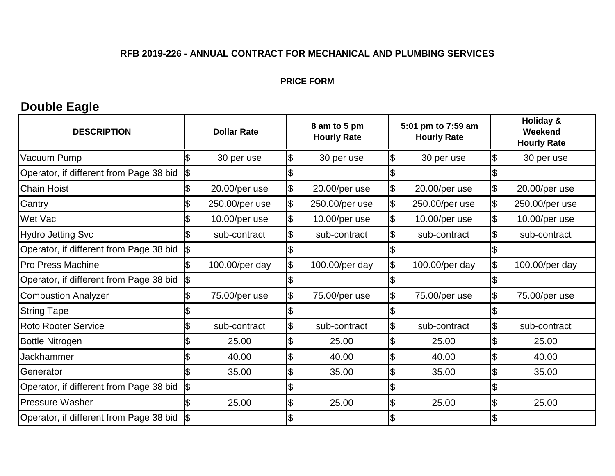#### **PRICE FORM**

# **Double Eagle**

| <b>DESCRIPTION</b>                      | <b>Dollar Rate</b> |                | 8 am to 5 pm<br><b>Hourly Rate</b> |                           | 5:01 pm to 7:59 am<br><b>Hourly Rate</b> |                            | Holiday &<br>Weekend<br><b>Hourly Rate</b> |
|-----------------------------------------|--------------------|----------------|------------------------------------|---------------------------|------------------------------------------|----------------------------|--------------------------------------------|
| Vacuum Pump                             | ß                  | 30 per use     | \$<br>30 per use                   | Ι\$                       | 30 per use                               | \$                         | 30 per use                                 |
| Operator, if different from Page 38 bid | \$                 |                |                                    |                           |                                          | \$                         |                                            |
| <b>Chain Hoist</b>                      |                    | 20.00/per use  | 20.00/per use                      | $\overline{\theta}$       | 20.00/per use                            | $\boldsymbol{\mathsf{\$}}$ | 20.00/per use                              |
| Gantry                                  |                    | 250.00/per use | 250.00/per use                     | $\big  \vartheta$         | 250.00/per use                           | \$                         | 250.00/per use                             |
| Wet Vac                                 |                    | 10.00/per use  | 10.00/per use                      | \$                        | 10.00/per use                            | \$                         | 10.00/per use                              |
| <b>Hydro Jetting Svc</b>                |                    | sub-contract   | sub-contract                       | $\boldsymbol{\mathsf{S}}$ | sub-contract                             | \$                         | sub-contract                               |
| Operator, if different from Page 38 bid | \$                 |                |                                    |                           |                                          |                            |                                            |
| <b>Pro Press Machine</b>                | Ŝ.                 | 100.00/per day | 100.00/per day                     | $\frac{1}{2}$             | 100.00/per day                           | \$                         | 100.00/per day                             |
| Operator, if different from Page 38 bid | \$                 |                |                                    | \$                        |                                          | \$                         |                                            |
| <b>Combustion Analyzer</b>              |                    | 75.00/per use  | 75.00/per use                      | \$                        | 75.00/per use                            | $\boldsymbol{\mathsf{\$}}$ | 75.00/per use                              |
| <b>String Tape</b>                      |                    |                |                                    |                           |                                          |                            |                                            |
| <b>Roto Rooter Service</b>              |                    | sub-contract   | sub-contract                       | \$                        | sub-contract                             | \$                         | sub-contract                               |
| <b>Bottle Nitrogen</b>                  |                    | 25.00          | 25.00                              | $\overline{\mathcal{E}}$  | 25.00                                    | \$                         | 25.00                                      |
| <b>Jackhammer</b>                       |                    | 40.00          | \$<br>40.00                        | \$                        | 40.00                                    | \$                         | 40.00                                      |
| Generator                               | 1\$                | 35.00          | \$<br>35.00                        | \$                        | 35.00                                    | $\boldsymbol{\mathsf{S}}$  | 35.00                                      |
| Operator, if different from Page 38 bid | \$                 |                |                                    |                           |                                          |                            |                                            |
| <b>Pressure Washer</b>                  |                    | 25.00          | 25.00                              | \$                        | 25.00                                    | \$                         | 25.00                                      |
| Operator, if different from Page 38 bid |                    |                |                                    |                           |                                          |                            |                                            |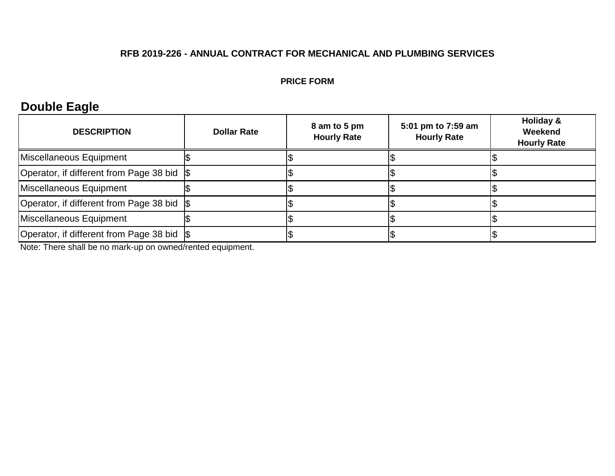#### **PRICE FORM**

# **Double Eagle**

| <b>DESCRIPTION</b>                          | <b>Dollar Rate</b> | 8 am to 5 pm<br><b>Hourly Rate</b> | 5:01 pm to 7:59 am<br><b>Hourly Rate</b> | Holiday &<br>Weekend<br><b>Hourly Rate</b> |
|---------------------------------------------|--------------------|------------------------------------|------------------------------------------|--------------------------------------------|
| Miscellaneous Equipment                     |                    |                                    |                                          |                                            |
| Operator, if different from Page 38 bid \\$ |                    |                                    |                                          |                                            |
| Miscellaneous Equipment                     |                    |                                    |                                          |                                            |
| Operator, if different from Page 38 bid \\$ |                    |                                    |                                          |                                            |
| Miscellaneous Equipment                     |                    |                                    |                                          |                                            |
| Operator, if different from Page 38 bid \\$ |                    |                                    |                                          |                                            |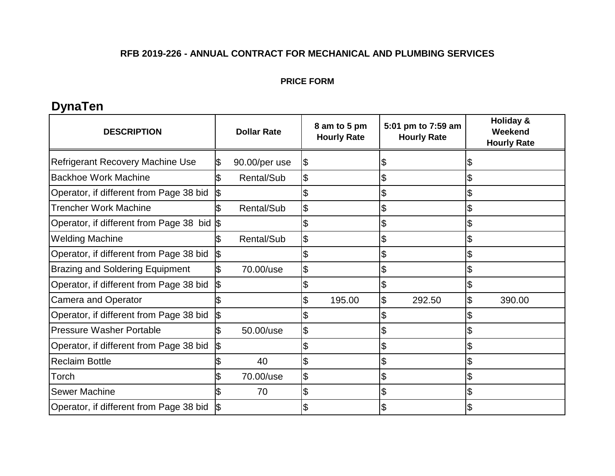#### **PRICE FORM**

# **DynaTen**

| <b>DESCRIPTION</b>                      |   | <b>Dollar Rate</b> | 8 am to 5 pm<br><b>Hourly Rate</b> | 5:01 pm to 7:59 am<br><b>Hourly Rate</b> |        | <b>Holiday &amp;</b><br>Weekend<br><b>Hourly Rate</b> |
|-----------------------------------------|---|--------------------|------------------------------------|------------------------------------------|--------|-------------------------------------------------------|
| <b>Refrigerant Recovery Machine Use</b> |   | 90.00/per use      | \$                                 | \$                                       |        |                                                       |
| <b>Backhoe Work Machine</b>             |   | Rental/Sub         | \$                                 | \$                                       |        |                                                       |
| Operator, if different from Page 38 bid |   |                    |                                    | \$                                       |        |                                                       |
| <b>Trencher Work Machine</b>            |   | Rental/Sub         |                                    | \$                                       |        |                                                       |
| Operator, if different from Page 38 bid |   |                    |                                    | \$                                       |        |                                                       |
| <b>Welding Machine</b>                  |   | Rental/Sub         |                                    | \$                                       |        |                                                       |
| Operator, if different from Page 38 bid |   |                    |                                    | \$                                       |        |                                                       |
| <b>Brazing and Soldering Equipment</b>  |   | 70.00/use          | \$                                 | \$                                       |        |                                                       |
| Operator, if different from Page 38 bid |   |                    |                                    | \$                                       |        |                                                       |
| <b>Camera and Operator</b>              |   |                    | 195.00                             | 1\$                                      | 292.50 | \$<br>390.00                                          |
| Operator, if different from Page 38 bid | ß |                    |                                    | \$                                       |        |                                                       |
| <b>Pressure Washer Portable</b>         |   | 50.00/use          | \$                                 | \$                                       |        |                                                       |
| Operator, if different from Page 38 bid |   |                    |                                    | \$                                       |        |                                                       |
| <b>Reclaim Bottle</b>                   |   | 40                 | \$                                 | \$                                       |        |                                                       |
| Torch                                   |   | 70.00/use          | \$                                 | \$                                       |        |                                                       |
| <b>Sewer Machine</b>                    |   | 70                 |                                    | \$                                       |        |                                                       |
| Operator, if different from Page 38 bid |   |                    |                                    |                                          |        |                                                       |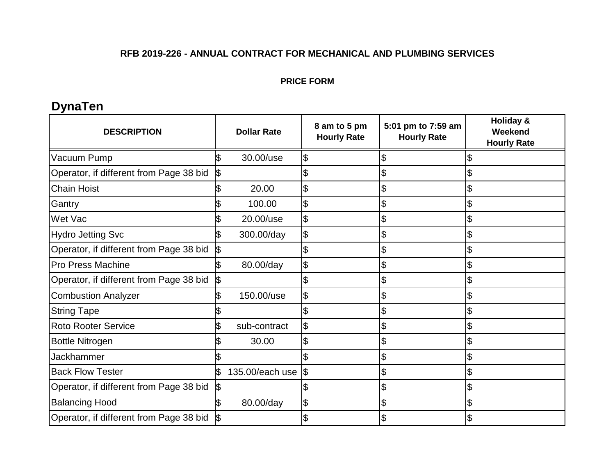#### **PRICE FORM**

# **DynaTen**

| <b>DESCRIPTION</b>                      | <b>Dollar Rate</b> | 8 am to 5 pm<br><b>Hourly Rate</b> | 5:01 pm to 7:59 am<br><b>Hourly Rate</b> | <b>Holiday &amp;</b><br>Weekend<br><b>Hourly Rate</b> |
|-----------------------------------------|--------------------|------------------------------------|------------------------------------------|-------------------------------------------------------|
| Vacuum Pump                             | 30.00/use          | S                                  | S                                        |                                                       |
| Operator, if different from Page 38 bid |                    |                                    | \$                                       | \$                                                    |
| <b>Chain Hoist</b>                      | 20.00              | \$                                 | \$                                       | \$                                                    |
| Gantry                                  | 100.00             | \$                                 | \$                                       |                                                       |
| Wet Vac                                 | 20.00/use          |                                    | \$                                       |                                                       |
| <b>Hydro Jetting Svc</b>                | 300.00/day         | $\mathfrak{P}$                     | \$                                       | \$                                                    |
| Operator, if different from Page 38 bid |                    |                                    | \$                                       |                                                       |
| <b>Pro Press Machine</b>                | 80.00/day          | \$                                 | \$                                       | \$                                                    |
| Operator, if different from Page 38 bid | \$                 |                                    | \$                                       | \$                                                    |
| <b>Combustion Analyzer</b>              | 150.00/use         | \$                                 | \$                                       |                                                       |
| <b>String Tape</b>                      |                    |                                    | \$                                       | \$                                                    |
| <b>Roto Rooter Service</b>              | sub-contract       | \$                                 | \$                                       | \$                                                    |
| <b>Bottle Nitrogen</b>                  | 30.00              |                                    | \$                                       |                                                       |
| Jackhammer                              |                    |                                    | \$                                       | \$                                                    |
| <b>Back Flow Tester</b>                 | 135.00/each use    | 1\$                                | \$                                       | \$                                                    |
| Operator, if different from Page 38 bid |                    |                                    | \$                                       | \$                                                    |
| <b>Balancing Hood</b>                   | 80.00/day          | \$                                 | \$                                       |                                                       |
| Operator, if different from Page 38 bid |                    |                                    | \$                                       |                                                       |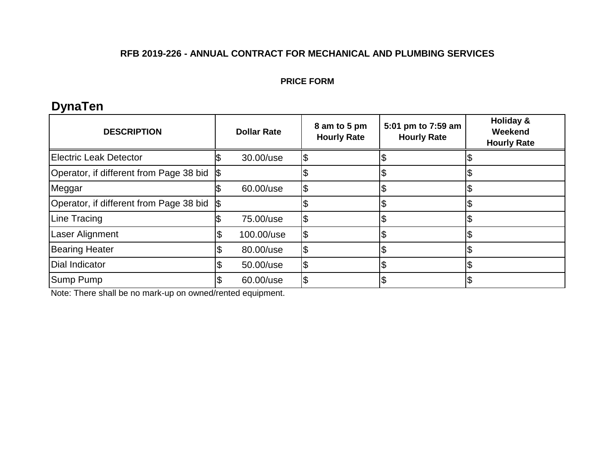#### **PRICE FORM**

# **DynaTen**

| <b>DESCRIPTION</b>                      | <b>Dollar Rate</b> |            | 8 am to 5 pm<br><b>Hourly Rate</b> | 5:01 pm to 7:59 am<br><b>Hourly Rate</b> | Holiday &<br>Weekend<br><b>Hourly Rate</b> |
|-----------------------------------------|--------------------|------------|------------------------------------|------------------------------------------|--------------------------------------------|
| Electric Leak Detector                  |                    | 30.00/use  |                                    |                                          |                                            |
| Operator, if different from Page 38 bid |                    |            |                                    | D                                        |                                            |
| Meggar                                  |                    | 60.00/use  |                                    |                                          |                                            |
| Operator, if different from Page 38 bid |                    |            |                                    |                                          |                                            |
| Line Tracing                            |                    | 75.00/use  |                                    |                                          |                                            |
| <b>Laser Alignment</b>                  |                    | 100.00/use |                                    |                                          |                                            |
| <b>Bearing Heater</b>                   |                    | 80.00/use  |                                    |                                          |                                            |
| Dial Indicator                          |                    | 50.00/use  |                                    | ΙJ                                       |                                            |
| Sump Pump                               |                    | 60.00/use  |                                    | ง                                        |                                            |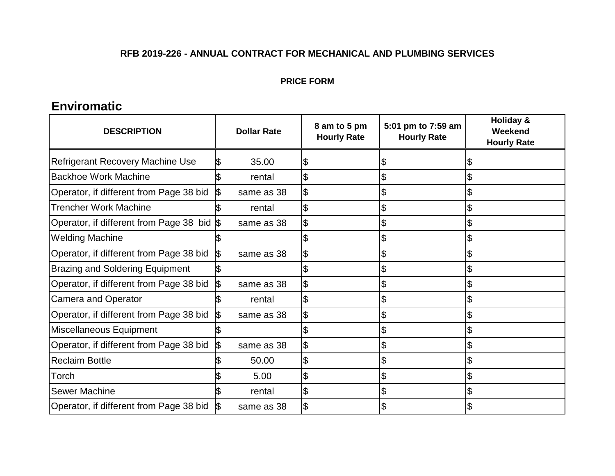#### **PRICE FORM**

## **Enviromatic**

| <b>DESCRIPTION</b>                      | <b>Dollar Rate</b> | 8 am to 5 pm<br><b>Hourly Rate</b> | 5:01 pm to 7:59 am<br><b>Hourly Rate</b> | Holiday &<br>Weekend<br><b>Hourly Rate</b> |
|-----------------------------------------|--------------------|------------------------------------|------------------------------------------|--------------------------------------------|
| <b>Refrigerant Recovery Machine Use</b> | 35.00              |                                    | J                                        |                                            |
| <b>Backhoe Work Machine</b>             | rental             |                                    | \$                                       |                                            |
| Operator, if different from Page 38 bid | same as 38         |                                    | \$                                       |                                            |
| <b>Trencher Work Machine</b>            | rental             |                                    | \$                                       |                                            |
| Operator, if different from Page 38 bid | same as 38         |                                    | \$                                       | \$                                         |
| <b>Welding Machine</b>                  |                    |                                    | \$                                       | \$                                         |
| Operator, if different from Page 38 bid | same as 38         |                                    | \$                                       | \$                                         |
| <b>Brazing and Soldering Equipment</b>  |                    |                                    | \$                                       | \$                                         |
| Operator, if different from Page 38 bid | \$<br>same as 38   | \$                                 | \$                                       |                                            |
| <b>Camera and Operator</b>              | rental             | \$                                 | \$                                       | \$                                         |
| Operator, if different from Page 38 bid | same as 38         | $\boldsymbol{\mathsf{S}}$          | \$                                       | \$                                         |
| Miscellaneous Equipment                 |                    |                                    | \$                                       | \$                                         |
| Operator, if different from Page 38 bid | same as 38         |                                    | \$                                       |                                            |
| <b>Reclaim Bottle</b>                   | 50.00              |                                    | \$                                       |                                            |
| Torch                                   | 5.00               |                                    | \$                                       | \$                                         |
| <b>Sewer Machine</b>                    | rental             |                                    | \$                                       | \$                                         |
| Operator, if different from Page 38 bid | same as 38         |                                    |                                          |                                            |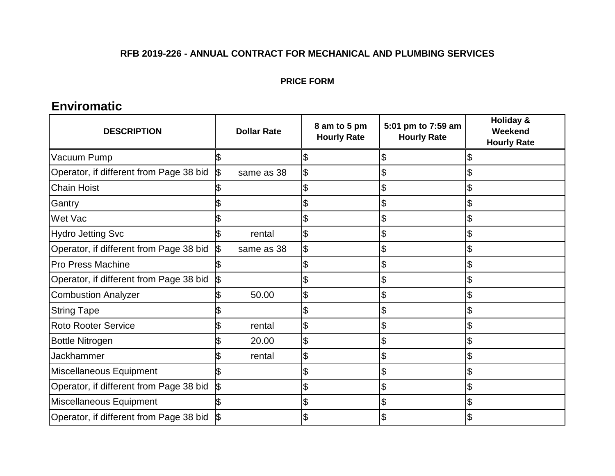#### **PRICE FORM**

## **Enviromatic**

| <b>DESCRIPTION</b>                      | <b>Dollar Rate</b> | 8 am to 5 pm<br><b>Hourly Rate</b> | 5:01 pm to 7:59 am<br><b>Hourly Rate</b> | <b>Holiday &amp;</b><br>Weekend<br><b>Hourly Rate</b> |
|-----------------------------------------|--------------------|------------------------------------|------------------------------------------|-------------------------------------------------------|
| Vacuum Pump                             |                    |                                    | S                                        |                                                       |
| Operator, if different from Page 38 bid | same as 38<br>1\$  | \$                                 | \$                                       | \$                                                    |
| <b>Chain Hoist</b>                      |                    |                                    | \$                                       | \$                                                    |
| Gantry                                  |                    |                                    | \$                                       |                                                       |
| Wet Vac                                 |                    |                                    | \$                                       | \$                                                    |
| <b>Hydro Jetting Svc</b>                | rental             | \$                                 | \$                                       | \$                                                    |
| Operator, if different from Page 38 bid | I\$<br>same as 38  | \$                                 | \$                                       | \$                                                    |
| <b>Pro Press Machine</b>                |                    |                                    | \$                                       | \$                                                    |
| Operator, if different from Page 38 bid |                    |                                    | $\boldsymbol{\mathsf{S}}$                | \$                                                    |
| <b>Combustion Analyzer</b>              | 50.00              | \$                                 | \$                                       | \$                                                    |
| <b>String Tape</b>                      |                    |                                    | \$                                       | \$                                                    |
| <b>Roto Rooter Service</b>              | rental             | \$                                 | \$                                       | \$                                                    |
| <b>Bottle Nitrogen</b>                  | 20.00              |                                    | \$                                       |                                                       |
| Jackhammer                              | rental             | \$                                 | $\boldsymbol{\mathsf{S}}$                |                                                       |
| Miscellaneous Equipment                 |                    |                                    | \$                                       | \$                                                    |
| Operator, if different from Page 38 bid | ß                  |                                    | \$                                       | \$                                                    |
| Miscellaneous Equipment                 |                    |                                    | \$                                       | \$                                                    |
| Operator, if different from Page 38 bid |                    |                                    | \$                                       | \$                                                    |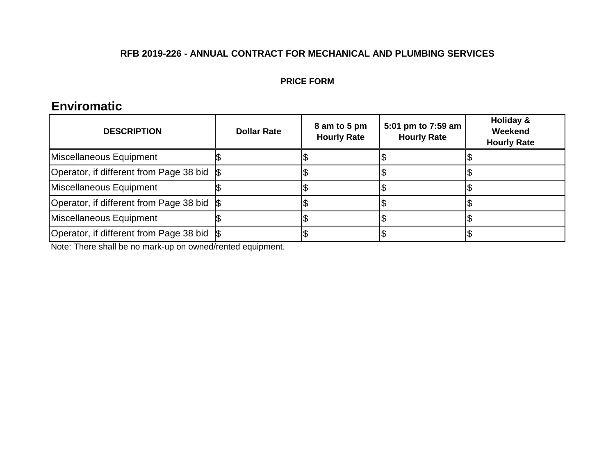#### **PRICE FORM**

## **Enviromatic**

| <b>DESCRIPTION</b>                          | <b>Dollar Rate</b> | 8 am to 5 pm<br><b>Hourly Rate</b> | 5:01 pm to 7:59 am<br><b>Hourly Rate</b> | Holiday &<br>Weekend<br><b>Hourly Rate</b> |
|---------------------------------------------|--------------------|------------------------------------|------------------------------------------|--------------------------------------------|
| Miscellaneous Equipment                     |                    |                                    |                                          |                                            |
| Operator, if different from Page 38 bid \$  |                    |                                    |                                          |                                            |
| Miscellaneous Equipment                     |                    |                                    |                                          |                                            |
| Operator, if different from Page 38 bid \\$ |                    |                                    |                                          |                                            |
| Miscellaneous Equipment                     |                    |                                    |                                          |                                            |
| Operator, if different from Page 38 bid \\$ |                    |                                    |                                          |                                            |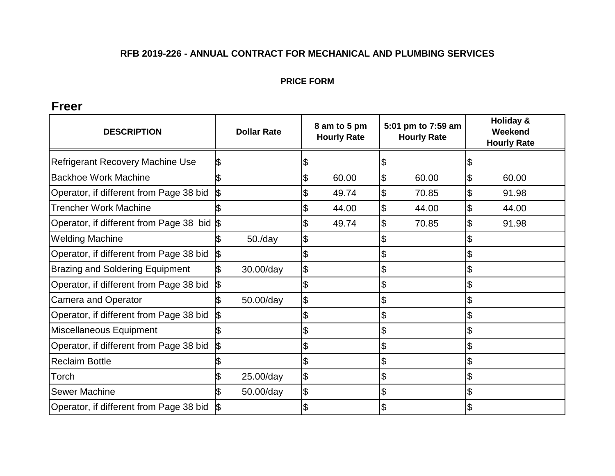#### **PRICE FORM**

## **Freer**

| <b>DESCRIPTION</b>                      | <b>Dollar Rate</b> | 8 am to 5 pm<br><b>Hourly Rate</b> |                     | 5:01 pm to 7:59 am<br><b>Hourly Rate</b> | <b>Holiday &amp;</b><br>Weekend<br><b>Hourly Rate</b> |
|-----------------------------------------|--------------------|------------------------------------|---------------------|------------------------------------------|-------------------------------------------------------|
| Refrigerant Recovery Machine Use        |                    |                                    | \$                  |                                          |                                                       |
| <b>Backhoe Work Machine</b>             |                    | 60.00                              | \$                  | 60.00                                    | \$<br>60.00                                           |
| Operator, if different from Page 38 bid |                    | 49.74                              | $\overline{\theta}$ | 70.85                                    | \$<br>91.98                                           |
| <b>Trencher Work Machine</b>            |                    | 44.00                              | \$                  | 44.00                                    | \$<br>44.00                                           |
| Operator, if different from Page 38 bid |                    | 49.74                              | \$                  | 70.85                                    | \$<br>91.98                                           |
| <b>Welding Machine</b>                  | 50./day            |                                    | \$                  |                                          |                                                       |
| Operator, if different from Page 38 bid |                    |                                    | \$                  |                                          |                                                       |
| <b>Brazing and Soldering Equipment</b>  | 30.00/day          | \$                                 | \$                  |                                          |                                                       |
| Operator, if different from Page 38 bid |                    |                                    | \$                  |                                          |                                                       |
| <b>Camera and Operator</b>              | 50.00/day          | \$                                 | \$                  |                                          |                                                       |
| Operator, if different from Page 38 bid |                    |                                    | \$                  |                                          |                                                       |
| Miscellaneous Equipment                 |                    |                                    | \$                  |                                          |                                                       |
| Operator, if different from Page 38 bid |                    |                                    | \$                  |                                          |                                                       |
| <b>Reclaim Bottle</b>                   |                    |                                    | \$                  |                                          |                                                       |
| Torch                                   | 25.00/day          | \$                                 | \$                  |                                          |                                                       |
| <b>Sewer Machine</b>                    | 50.00/day          | \$                                 | \$                  |                                          |                                                       |
| Operator, if different from Page 38 bid |                    |                                    | \$                  |                                          |                                                       |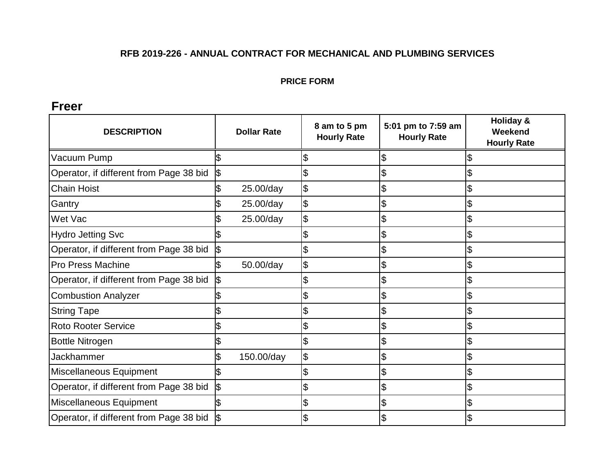#### **PRICE FORM**

## **Freer**

| <b>DESCRIPTION</b>                      | <b>Dollar Rate</b> | 8 am to 5 pm<br><b>Hourly Rate</b> | 5:01 pm to 7:59 am<br><b>Hourly Rate</b> | <b>Holiday &amp;</b><br>Weekend<br><b>Hourly Rate</b> |
|-----------------------------------------|--------------------|------------------------------------|------------------------------------------|-------------------------------------------------------|
| Vacuum Pump                             |                    |                                    | \$                                       |                                                       |
| Operator, if different from Page 38 bid | \$                 |                                    | \$                                       |                                                       |
| <b>Chain Hoist</b>                      | 25.00/day          | \$                                 | \$                                       |                                                       |
| Gantry                                  | 25.00/day          | \$                                 | $\boldsymbol{\theta}$                    |                                                       |
| Wet Vac                                 | 25.00/day          | \$                                 | \$                                       |                                                       |
| <b>Hydro Jetting Svc</b>                |                    |                                    | \$                                       |                                                       |
| Operator, if different from Page 38 bid |                    |                                    | \$                                       |                                                       |
| <b>Pro Press Machine</b>                | 50.00/day          | \$                                 | \$                                       |                                                       |
| Operator, if different from Page 38 bid |                    |                                    | \$                                       |                                                       |
| <b>Combustion Analyzer</b>              |                    |                                    | $\boldsymbol{\theta}$                    |                                                       |
| <b>String Tape</b>                      |                    |                                    | \$                                       |                                                       |
| <b>Roto Rooter Service</b>              |                    |                                    | $\mathfrak{S}$                           |                                                       |
| <b>Bottle Nitrogen</b>                  |                    |                                    | \$                                       |                                                       |
| Jackhammer                              | 150.00/day         | \$                                 | \$                                       |                                                       |
| Miscellaneous Equipment                 |                    |                                    | \$                                       |                                                       |
| Operator, if different from Page 38 bid |                    | \$                                 | $\boldsymbol{\theta}$                    |                                                       |
| Miscellaneous Equipment                 |                    |                                    | \$                                       |                                                       |
| Operator, if different from Page 38 bid |                    |                                    | \$                                       |                                                       |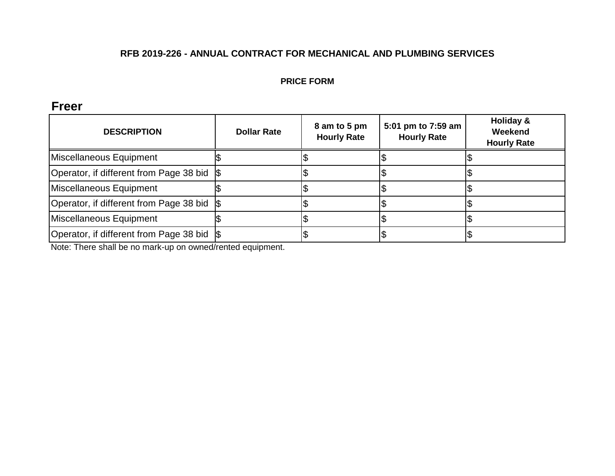#### **PRICE FORM**

## **Freer**

| <b>DESCRIPTION</b>                          | <b>Dollar Rate</b> | 8 am to 5 pm<br><b>Hourly Rate</b> | 5:01 pm to 7:59 am<br><b>Hourly Rate</b> | Holiday &<br>Weekend<br><b>Hourly Rate</b> |
|---------------------------------------------|--------------------|------------------------------------|------------------------------------------|--------------------------------------------|
| Miscellaneous Equipment                     |                    |                                    |                                          |                                            |
| Operator, if different from Page 38 bid S   |                    |                                    |                                          |                                            |
| Miscellaneous Equipment                     |                    |                                    |                                          |                                            |
| Operator, if different from Page 38 bid \\$ |                    |                                    |                                          |                                            |
| Miscellaneous Equipment                     |                    |                                    |                                          |                                            |
| Operator, if different from Page 38 bid \\$ |                    |                                    |                                          |                                            |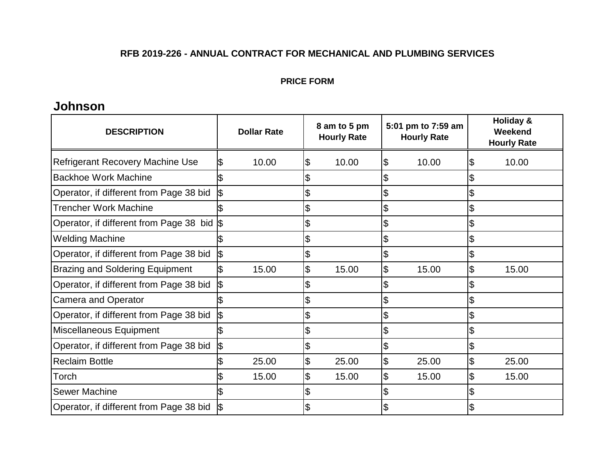#### **PRICE FORM**

## **Johnson**

| <b>DESCRIPTION</b>                         | <b>Dollar Rate</b> | 8 am to 5 pm<br><b>Hourly Rate</b> | 5:01 pm to 7:59 am<br><b>Hourly Rate</b> | <b>Holiday &amp;</b><br>Weekend<br><b>Hourly Rate</b> |
|--------------------------------------------|--------------------|------------------------------------|------------------------------------------|-------------------------------------------------------|
| <b>Refrigerant Recovery Machine Use</b>    | 10.00              | 10.00<br>\$                        | 10.00<br>\$                              | 10.00<br>\$                                           |
| <b>Backhoe Work Machine</b>                |                    |                                    | \$                                       | \$                                                    |
| Operator, if different from Page 38 bid    |                    |                                    | \$                                       | \$                                                    |
| <b>Trencher Work Machine</b>               |                    |                                    | \$                                       | \$                                                    |
| Operator, if different from Page 38 bid \$ |                    |                                    | \$                                       | \$                                                    |
| <b>Welding Machine</b>                     |                    |                                    | \$                                       | \$                                                    |
| Operator, if different from Page 38 bid    | \$                 |                                    | \$                                       | \$                                                    |
| <b>Brazing and Soldering Equipment</b>     | 15.00              | \$<br>15.00                        | \$<br>15.00                              | \$<br>15.00                                           |
| Operator, if different from Page 38 bid    | \$                 |                                    | \$                                       |                                                       |
| <b>Camera and Operator</b>                 |                    |                                    | \$                                       | \$                                                    |
| Operator, if different from Page 38 bid    | \$                 | \$                                 | \$                                       | \$                                                    |
| Miscellaneous Equipment                    |                    | \$                                 | \$                                       | \$                                                    |
| Operator, if different from Page 38 bid    | \$                 |                                    | \$                                       | \$                                                    |
| <b>Reclaim Bottle</b>                      | 25.00              | 25.00<br>\$                        | \$<br>25.00                              | 25.00<br>\$                                           |
| Torch                                      | 15.00              | \$<br>15.00                        | \$<br>15.00                              | \$<br>15.00                                           |
| <b>Sewer Machine</b>                       |                    |                                    |                                          |                                                       |
| Operator, if different from Page 38 bid    |                    |                                    |                                          |                                                       |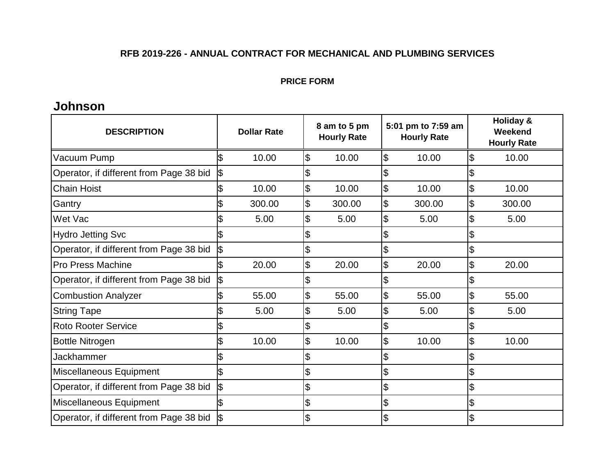#### **PRICE FORM**

## **Johnson**

| <b>DESCRIPTION</b>                      |     | <b>Dollar Rate</b> | 8 am to 5 pm<br><b>Hourly Rate</b> |                           | 5:01 pm to 7:59 am<br><b>Hourly Rate</b> |                            | Holiday &<br>Weekend<br><b>Hourly Rate</b> |
|-----------------------------------------|-----|--------------------|------------------------------------|---------------------------|------------------------------------------|----------------------------|--------------------------------------------|
| Vacuum Pump                             | \$  | 10.00              | \$<br>10.00                        | \$                        | 10.00                                    | $\boldsymbol{\mathsf{\$}}$ | 10.00                                      |
| Operator, if different from Page 38 bid | \$  |                    | \$                                 | \$                        |                                          | \$                         |                                            |
| <b>Chain Hoist</b>                      |     | 10.00              | \$<br>10.00                        | \$                        | 10.00                                    | $\boldsymbol{\mathsf{S}}$  | 10.00                                      |
| Gantry                                  |     | 300.00             | \$<br>300.00                       | \$                        | 300.00                                   | \$                         | 300.00                                     |
| Wet Vac                                 |     | 5.00               | \$<br>5.00                         | \$                        | 5.00                                     | \$                         | 5.00                                       |
| <b>Hydro Jetting Svc</b>                |     |                    | \$                                 | \$                        |                                          | \$                         |                                            |
| Operator, if different from Page 38 bid |     |                    | \$                                 | \$                        |                                          | \$                         |                                            |
| <b>Pro Press Machine</b>                |     | 20.00              | \$<br>20.00                        | $\boldsymbol{\mathsf{S}}$ | 20.00                                    | \$                         | 20.00                                      |
| Operator, if different from Page 38 bid | \$  |                    | \$                                 | \$                        |                                          | \$                         |                                            |
| <b>Combustion Analyzer</b>              |     | 55.00              | \$<br>55.00                        | \$                        | 55.00                                    | $\boldsymbol{\mathsf{\$}}$ | 55.00                                      |
| <b>String Tape</b>                      |     | 5.00               | \$<br>5.00                         | \$                        | 5.00                                     | \$                         | 5.00                                       |
| <b>Roto Rooter Service</b>              |     |                    | \$                                 | \$                        |                                          | \$                         |                                            |
| <b>Bottle Nitrogen</b>                  |     | 10.00              | \$<br>10.00                        | \$                        | 10.00                                    | \$                         | 10.00                                      |
| Jackhammer                              |     |                    | \$                                 | \$                        |                                          | \$                         |                                            |
| Miscellaneous Equipment                 | l\$ |                    | \$                                 | \$                        |                                          | \$                         |                                            |
| Operator, if different from Page 38 bid | \$  |                    | \$                                 | \$                        |                                          | \$                         |                                            |
| Miscellaneous Equipment                 |     |                    | \$                                 | \$                        |                                          | $\boldsymbol{\mathsf{S}}$  |                                            |
| Operator, if different from Page 38 bid |     |                    | \$                                 |                           |                                          | \$                         |                                            |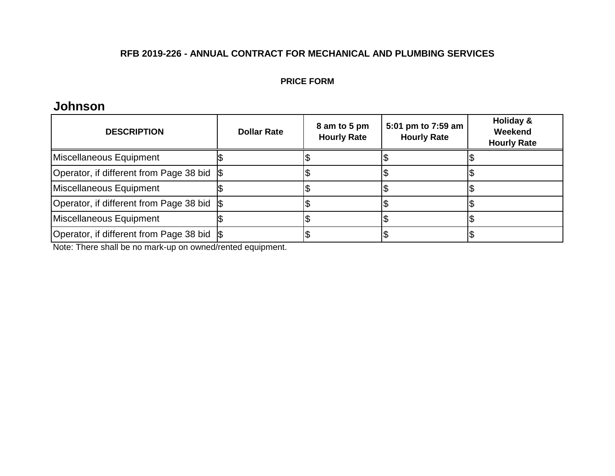#### **PRICE FORM**

## **Johnson**

| <b>DESCRIPTION</b>                          | <b>Dollar Rate</b> | 8 am to 5 pm<br><b>Hourly Rate</b> | 5:01 pm to 7:59 am<br><b>Hourly Rate</b> | Holiday &<br>Weekend<br><b>Hourly Rate</b> |
|---------------------------------------------|--------------------|------------------------------------|------------------------------------------|--------------------------------------------|
| Miscellaneous Equipment                     |                    |                                    |                                          |                                            |
| Operator, if different from Page 38 bid \\$ |                    |                                    |                                          |                                            |
| Miscellaneous Equipment                     |                    |                                    |                                          |                                            |
| Operator, if different from Page 38 bid \\$ |                    |                                    |                                          |                                            |
| Miscellaneous Equipment                     |                    |                                    |                                          |                                            |
| Operator, if different from Page 38 bid S   |                    |                                    |                                          |                                            |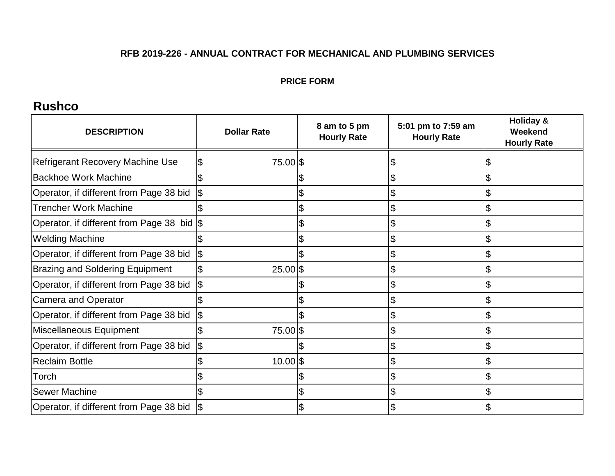#### **PRICE FORM**

## **Rushco**

| <b>DESCRIPTION</b>                      | <b>Dollar Rate</b> | 8 am to 5 pm<br><b>Hourly Rate</b> | 5:01 pm to 7:59 am<br><b>Hourly Rate</b> | <b>Holiday &amp;</b><br>Weekend<br><b>Hourly Rate</b> |
|-----------------------------------------|--------------------|------------------------------------|------------------------------------------|-------------------------------------------------------|
| <b>Refrigerant Recovery Machine Use</b> | 75.00 \$<br>IЖ     |                                    | D                                        |                                                       |
| <b>Backhoe Work Machine</b>             |                    |                                    | \$                                       |                                                       |
| Operator, if different from Page 38 bid |                    |                                    |                                          |                                                       |
| <b>Trencher Work Machine</b>            |                    |                                    |                                          |                                                       |
| Operator, if different from Page 38 bid |                    |                                    |                                          |                                                       |
| <b>Welding Machine</b>                  |                    |                                    | D                                        |                                                       |
| Operator, if different from Page 38 bid |                    |                                    | \$                                       |                                                       |
| <b>Brazing and Soldering Equipment</b>  | $25.00$ \$         |                                    | \$                                       |                                                       |
| Operator, if different from Page 38 bid | l\$                |                                    | \$                                       |                                                       |
| <b>Camera and Operator</b>              |                    |                                    | \$                                       |                                                       |
| Operator, if different from Page 38 bid | \$                 |                                    | \$                                       |                                                       |
| Miscellaneous Equipment                 | 75.00 \$           |                                    | \$                                       |                                                       |
| Operator, if different from Page 38 bid |                    |                                    | \$                                       |                                                       |
| <b>Reclaim Bottle</b>                   | $10.00$ \$         |                                    | \$                                       |                                                       |
| Torch                                   |                    |                                    |                                          |                                                       |
| <b>Sewer Machine</b>                    |                    |                                    |                                          |                                                       |
| Operator, if different from Page 38 bid |                    |                                    |                                          |                                                       |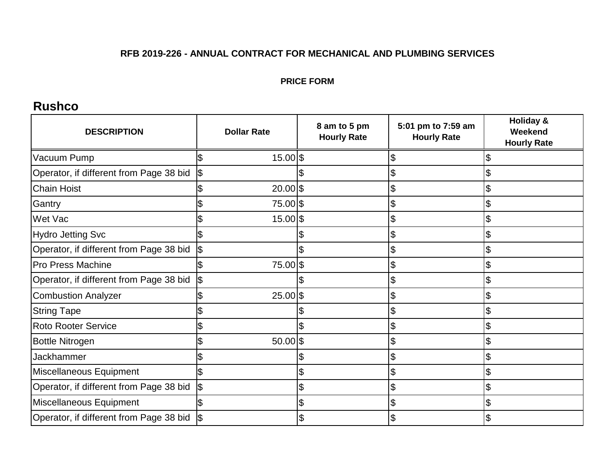#### **PRICE FORM**

## **Rushco**

| <b>DESCRIPTION</b>                      | <b>Dollar Rate</b> | 8 am to 5 pm<br><b>Hourly Rate</b> | 5:01 pm to 7:59 am<br><b>Hourly Rate</b> | <b>Holiday &amp;</b><br>Weekend<br><b>Hourly Rate</b> |
|-----------------------------------------|--------------------|------------------------------------|------------------------------------------|-------------------------------------------------------|
| Vacuum Pump                             | 15.00 \$           |                                    | \$                                       |                                                       |
| Operator, if different from Page 38 bid | \$                 |                                    | \$                                       |                                                       |
| <b>Chain Hoist</b>                      | $20.00$ \$         |                                    | \$                                       |                                                       |
| Gantry                                  | 75.00 \$           |                                    | \$                                       |                                                       |
| Wet Vac                                 | 15.00 \$           |                                    | \$                                       |                                                       |
| <b>Hydro Jetting Svc</b>                |                    |                                    | \$                                       |                                                       |
| Operator, if different from Page 38 bid | \$                 |                                    | \$                                       |                                                       |
| <b>Pro Press Machine</b>                | 75.00 \$           |                                    | \$                                       | \$                                                    |
| Operator, if different from Page 38 bid | \$                 |                                    | \$                                       |                                                       |
| <b>Combustion Analyzer</b>              | $25.00$ \$         |                                    | \$                                       |                                                       |
| <b>String Tape</b>                      |                    |                                    | \$                                       |                                                       |
| <b>Roto Rooter Service</b>              |                    |                                    | \$                                       |                                                       |
| <b>Bottle Nitrogen</b>                  | $50.00$ \$         |                                    | \$                                       |                                                       |
| Jackhammer                              |                    |                                    | \$                                       | \$                                                    |
| Miscellaneous Equipment                 |                    | \$                                 | \$                                       | \$                                                    |
| Operator, if different from Page 38 bid | $\sqrt{2}$         | \$                                 | \$                                       |                                                       |
| Miscellaneous Equipment                 |                    | \$                                 | \$                                       |                                                       |
| Operator, if different from Page 38 bid |                    | \$                                 |                                          |                                                       |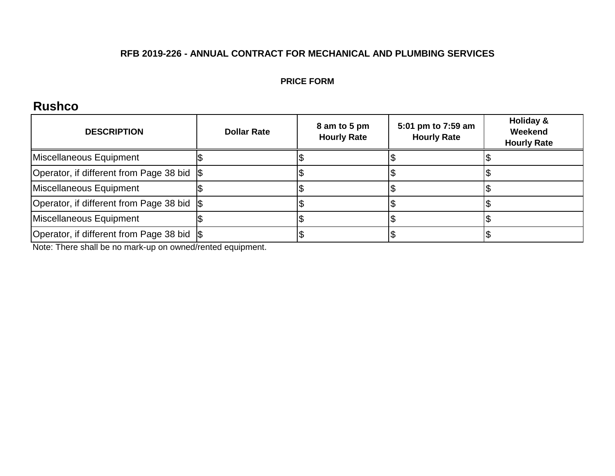#### **PRICE FORM**

## **Rushco**

| <b>DESCRIPTION</b>                      | <b>Dollar Rate</b> | 8 am to 5 pm<br><b>Hourly Rate</b> | 5:01 pm to 7:59 am<br><b>Hourly Rate</b> | Holiday &<br>Weekend<br><b>Hourly Rate</b> |
|-----------------------------------------|--------------------|------------------------------------|------------------------------------------|--------------------------------------------|
| Miscellaneous Equipment                 |                    |                                    |                                          |                                            |
| Operator, if different from Page 38 bid |                    |                                    |                                          |                                            |
| Miscellaneous Equipment                 |                    |                                    |                                          |                                            |
| Operator, if different from Page 38 bid |                    |                                    |                                          |                                            |
| Miscellaneous Equipment                 |                    |                                    |                                          |                                            |
| Operator, if different from Page 38 bid |                    |                                    |                                          |                                            |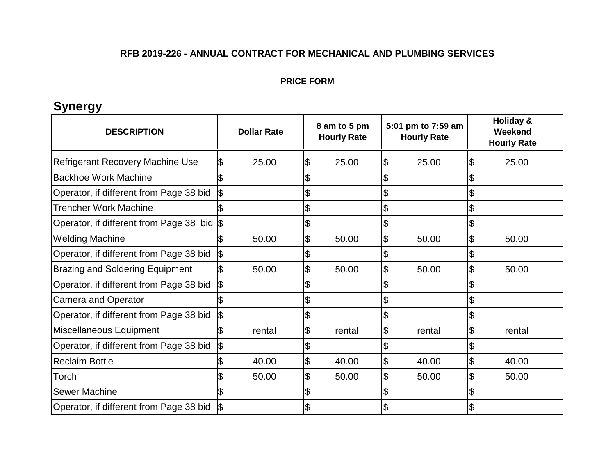#### **PRICE FORM**

## **Synergy**

| <b>DESCRIPTION</b>                         | <b>Dollar Rate</b> | 8 am to 5 pm<br><b>Hourly Rate</b> | 5:01 pm to 7:59 am<br><b>Hourly Rate</b> | Holiday &<br>Weekend<br><b>Hourly Rate</b> |
|--------------------------------------------|--------------------|------------------------------------|------------------------------------------|--------------------------------------------|
| <b>Refrigerant Recovery Machine Use</b>    | 25.00              | 25.00<br>\$                        | 25.00<br>\$                              | 25.00<br>\$                                |
| <b>Backhoe Work Machine</b>                |                    |                                    | \$                                       | \$                                         |
| Operator, if different from Page 38 bid    | 1\$                |                                    | \$                                       | \$                                         |
| <b>Trencher Work Machine</b>               |                    |                                    | \$                                       | \$                                         |
| Operator, if different from Page 38 bid \$ |                    |                                    | \$                                       | \$                                         |
| <b>Welding Machine</b>                     | 50.00              | \$<br>50.00                        | \$<br>50.00                              | \$<br>50.00                                |
| Operator, if different from Page 38 bid    | \$                 |                                    | \$                                       | \$                                         |
| <b>Brazing and Soldering Equipment</b>     | 50.00              | \$<br>50.00                        | \$<br>50.00                              | \$<br>50.00                                |
| Operator, if different from Page 38 bid    | \$                 |                                    | \$                                       | \$                                         |
| <b>Camera and Operator</b>                 |                    | \$                                 | \$                                       | $\frac{1}{2}$                              |
| Operator, if different from Page 38 bid    | \$                 | \$                                 | \$                                       | \$                                         |
| Miscellaneous Equipment                    | rental             | $\overline{\mathcal{E}}$<br>rental | \$<br>rental                             | \$<br>rental                               |
| Operator, if different from Page 38 bid    | \$                 |                                    | \$                                       | \$                                         |
| <b>Reclaim Bottle</b>                      | 40.00              | \$<br>40.00                        | \$<br>40.00                              | \$<br>40.00                                |
| Torch                                      | 50.00              | \$<br>50.00                        | \$<br>50.00                              | \$<br>50.00                                |
| <b>Sewer Machine</b>                       |                    |                                    | \$                                       | \$                                         |
| Operator, if different from Page 38 bid    |                    |                                    | \$                                       | \$                                         |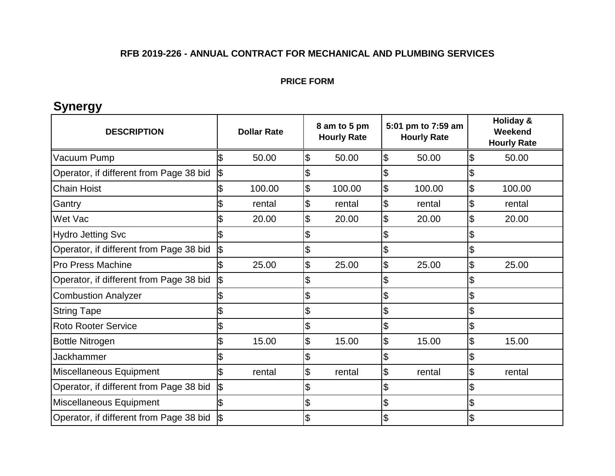#### **PRICE FORM**

## **Synergy**

| <b>DESCRIPTION</b>                      |     | <b>Dollar Rate</b> | 8 am to 5 pm<br><b>Hourly Rate</b> |                           | 5:01 pm to 7:59 am<br><b>Hourly Rate</b> |                            | <b>Holiday &amp;</b><br>Weekend<br><b>Hourly Rate</b> |
|-----------------------------------------|-----|--------------------|------------------------------------|---------------------------|------------------------------------------|----------------------------|-------------------------------------------------------|
| Vacuum Pump                             | ß   | 50.00              | \$<br>50.00                        | \$                        | 50.00                                    | $\overline{\mathcal{E}}$   | 50.00                                                 |
| Operator, if different from Page 38 bid | \$  |                    | \$                                 | \$                        |                                          | \$                         |                                                       |
| <b>Chain Hoist</b>                      |     | 100.00             | \$<br>100.00                       | \$                        | 100.00                                   | $\frac{3}{2}$              | 100.00                                                |
| Gantry                                  |     | rental             | \$<br>rental                       | \$                        | rental                                   | $\boldsymbol{\mathsf{\$}}$ | rental                                                |
| Wet Vac                                 |     | 20.00              | \$<br>20.00                        | \$                        | 20.00                                    | \$                         | 20.00                                                 |
| <b>Hydro Jetting Svc</b>                |     |                    | \$                                 | \$                        |                                          | \$                         |                                                       |
| Operator, if different from Page 38 bid |     |                    | \$                                 | \$                        |                                          | $\mathfrak{F}$             |                                                       |
| <b>Pro Press Machine</b>                |     | 25.00              | \$<br>25.00                        | $\boldsymbol{\mathsf{S}}$ | 25.00                                    | \$                         | 25.00                                                 |
| Operator, if different from Page 38 bid | I\$ |                    | \$                                 | \$                        |                                          | \$                         |                                                       |
| <b>Combustion Analyzer</b>              |     |                    | \$                                 | \$                        |                                          | \$                         |                                                       |
| <b>String Tape</b>                      |     |                    | \$                                 | \$                        |                                          | \$                         |                                                       |
| <b>Roto Rooter Service</b>              |     |                    | \$                                 | \$                        |                                          | \$                         |                                                       |
| <b>Bottle Nitrogen</b>                  |     | 15.00              | \$<br>15.00                        | \$                        | 15.00                                    | \$                         | 15.00                                                 |
| Jackhammer                              |     |                    | \$                                 | \$                        |                                          | \$                         |                                                       |
| Miscellaneous Equipment                 | \$  | rental             | \$<br>rental                       | $\boldsymbol{\mathsf{S}}$ | rental                                   | $\frac{3}{2}$              | rental                                                |
| Operator, if different from Page 38 bid | \$  |                    | \$                                 | \$                        |                                          |                            |                                                       |
| Miscellaneous Equipment                 |     |                    | \$                                 | \$                        |                                          | \$                         |                                                       |
| Operator, if different from Page 38 bid |     |                    | \$                                 | \$                        |                                          | \$                         |                                                       |